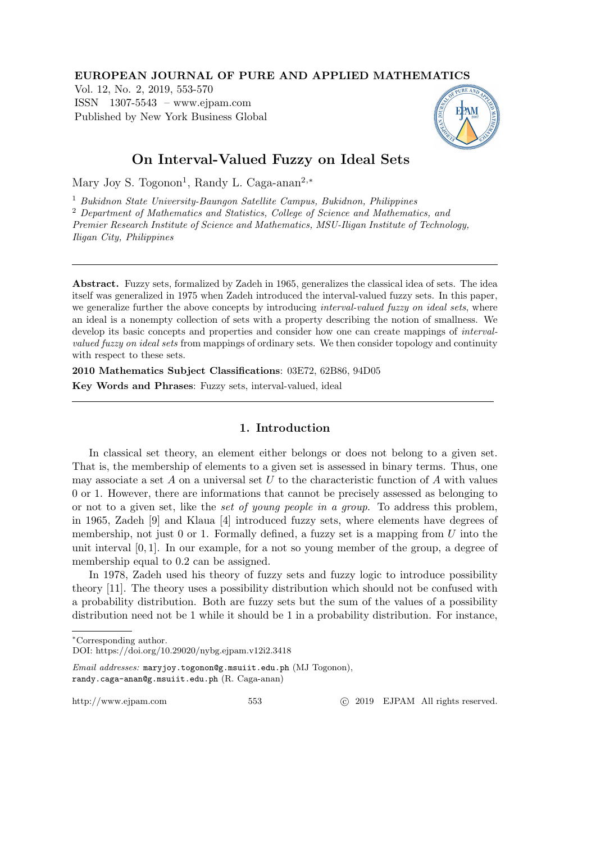### EUROPEAN JOURNAL OF PURE AND APPLIED MATHEMATICS

Vol. 12, No. 2, 2019, 553-570 ISSN 1307-5543 – www.ejpam.com Published by New York Business Global



# On Interval-Valued Fuzzy on Ideal Sets

Mary Joy S. Togonon<sup>1</sup>, Randy L. Caga-anan<sup>2,∗</sup>

<sup>1</sup> Bukidnon State University-Baungon Satellite Campus, Bukidnon, Philippines <sup>2</sup> Department of Mathematics and Statistics, College of Science and Mathematics, and Premier Research Institute of Science and Mathematics, MSU-Iligan Institute of Technology, Iligan City, Philippines

Abstract. Fuzzy sets, formalized by Zadeh in 1965, generalizes the classical idea of sets. The idea itself was generalized in 1975 when Zadeh introduced the interval-valued fuzzy sets. In this paper, we generalize further the above concepts by introducing *interval-valued fuzzy on ideal sets*, where an ideal is a nonempty collection of sets with a property describing the notion of smallness. We develop its basic concepts and properties and consider how one can create mappings of *interval*valued fuzzy on ideal sets from mappings of ordinary sets. We then consider topology and continuity with respect to these sets.

2010 Mathematics Subject Classifications: 03E72, 62B86, 94D05

Key Words and Phrases: Fuzzy sets, interval-valued, ideal

# 1. Introduction

In classical set theory, an element either belongs or does not belong to a given set. That is, the membership of elements to a given set is assessed in binary terms. Thus, one may associate a set A on a universal set U to the characteristic function of A with values 0 or 1. However, there are informations that cannot be precisely assessed as belonging to or not to a given set, like the set of young people in a group. To address this problem, in 1965, Zadeh [9] and Klaua [4] introduced fuzzy sets, where elements have degrees of membership, not just  $0$  or  $1$ . Formally defined, a fuzzy set is a mapping from U into the unit interval  $[0, 1]$ . In our example, for a not so young member of the group, a degree of membership equal to 0.2 can be assigned.

In 1978, Zadeh used his theory of fuzzy sets and fuzzy logic to introduce possibility theory [11]. The theory uses a possibility distribution which should not be confused with a probability distribution. Both are fuzzy sets but the sum of the values of a possibility distribution need not be 1 while it should be 1 in a probability distribution. For instance,

http://www.ejpam.com 553 c 2019 EJPAM All rights reserved.

<sup>∗</sup>Corresponding author.

DOI: https://doi.org/10.29020/nybg.ejpam.v12i2.3418

Email addresses: maryjoy.togonon@g.msuiit.edu.ph (MJ Togonon), randy.caga-anan@g.msuiit.edu.ph (R. Caga-anan)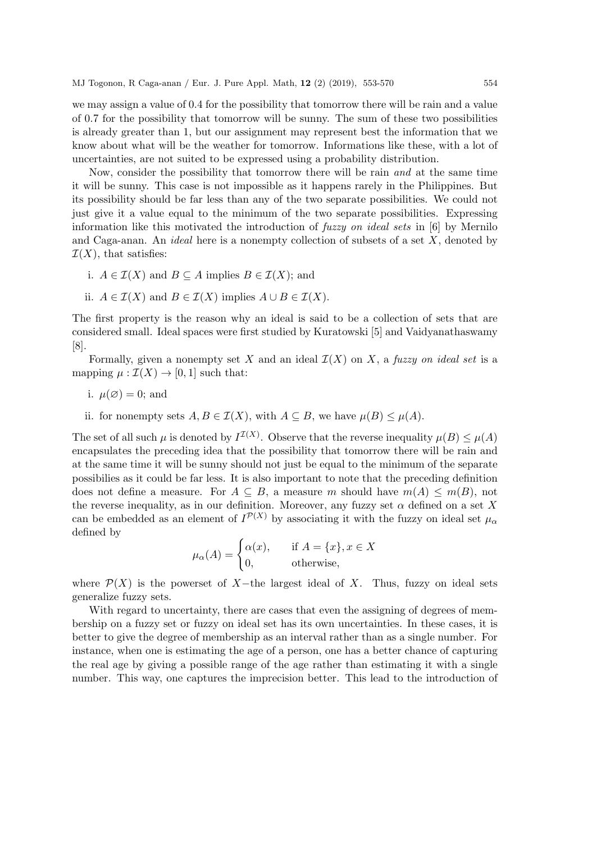we may assign a value of 0.4 for the possibility that tomorrow there will be rain and a value of 0.7 for the possibility that tomorrow will be sunny. The sum of these two possibilities is already greater than 1, but our assignment may represent best the information that we know about what will be the weather for tomorrow. Informations like these, with a lot of uncertainties, are not suited to be expressed using a probability distribution.

Now, consider the possibility that tomorrow there will be rain and at the same time it will be sunny. This case is not impossible as it happens rarely in the Philippines. But its possibility should be far less than any of the two separate possibilities. We could not just give it a value equal to the minimum of the two separate possibilities. Expressing information like this motivated the introduction of fuzzy on ideal sets in [6] by Mernilo and Caga-anan. An *ideal* here is a nonempty collection of subsets of a set  $X$ , denoted by  $\mathcal{I}(X)$ , that satisfies:

- i.  $A \in \mathcal{I}(X)$  and  $B \subseteq A$  implies  $B \in \mathcal{I}(X)$ ; and
- ii.  $A \in \mathcal{I}(X)$  and  $B \in \mathcal{I}(X)$  implies  $A \cup B \in \mathcal{I}(X)$ .

The first property is the reason why an ideal is said to be a collection of sets that are considered small. Ideal spaces were first studied by Kuratowski [5] and Vaidyanathaswamy [8].

Formally, given a nonempty set X and an ideal  $\mathcal{I}(X)$  on X, a fuzzy on ideal set is a mapping  $\mu : \mathcal{I}(X) \to [0, 1]$  such that:

- i.  $\mu(\emptyset) = 0$ ; and
- ii. for nonempty sets  $A, B \in \mathcal{I}(X)$ , with  $A \subseteq B$ , we have  $\mu(B) \leq \mu(A)$ .

The set of all such  $\mu$  is denoted by  $I^{\mathcal{I}(X)}$ . Observe that the reverse inequality  $\mu(B) \leq \mu(A)$ encapsulates the preceding idea that the possibility that tomorrow there will be rain and at the same time it will be sunny should not just be equal to the minimum of the separate possibilies as it could be far less. It is also important to note that the preceding definition does not define a measure. For  $A \subseteq B$ , a measure m should have  $m(A) \leq m(B)$ , not the reverse inequality, as in our definition. Moreover, any fuzzy set  $\alpha$  defined on a set X can be embedded as an element of  $I^{\mathcal{P}(X)}$  by associating it with the fuzzy on ideal set  $\mu_{\alpha}$ defined by

$$
\mu_{\alpha}(A) = \begin{cases} \alpha(x), & \text{if } A = \{x\}, x \in X \\ 0, & \text{otherwise,} \end{cases}
$$

where  $\mathcal{P}(X)$  is the powerset of X-the largest ideal of X. Thus, fuzzy on ideal sets generalize fuzzy sets.

With regard to uncertainty, there are cases that even the assigning of degrees of membership on a fuzzy set or fuzzy on ideal set has its own uncertainties. In these cases, it is better to give the degree of membership as an interval rather than as a single number. For instance, when one is estimating the age of a person, one has a better chance of capturing the real age by giving a possible range of the age rather than estimating it with a single number. This way, one captures the imprecision better. This lead to the introduction of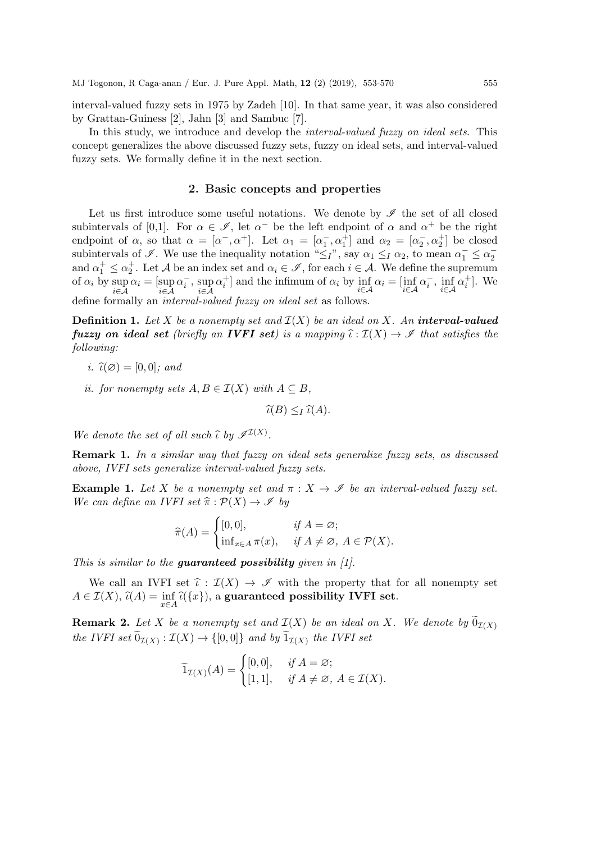interval-valued fuzzy sets in 1975 by Zadeh [10]. In that same year, it was also considered by Grattan-Guiness [2], Jahn [3] and Sambuc [7].

In this study, we introduce and develop the *interval-valued fuzzy on ideal sets*. This concept generalizes the above discussed fuzzy sets, fuzzy on ideal sets, and interval-valued fuzzy sets. We formally define it in the next section.

### 2. Basic concepts and properties

Let us first introduce some useful notations. We denote by  $\mathscr I$  the set of all closed subintervals of [0,1]. For  $\alpha \in \mathscr{I}$ , let  $\alpha^-$  be the left endpoint of  $\alpha$  and  $\alpha^+$  be the right endpoint of  $\alpha$ , so that  $\alpha = [\alpha^-, \alpha^+]$ . Let  $\alpha_1 = [\alpha_1^-, \alpha_1^+]$  and  $\alpha_2 = [\alpha_2^-, \alpha_2^+]$  be closed subintervals of  $\mathscr{I}$ . We use the inequality notation " $\leq_I$ ", say  $\alpha_1 \leq_I \alpha_2$ , to mean  $\alpha_1^- \leq \alpha_2^$ and  $\alpha_1^+ \leq \alpha_2^+$ . Let A be an index set and  $\alpha_i \in \mathscr{I}$ , for each  $i \in \mathcal{A}$ . We define the supremum of  $\alpha_i$  by  $\sup_{i \in \mathcal{A}} \alpha_i = [\sup_{i \in \mathcal{A}}$  $\alpha_i^-, \text{ sup}$ i∈A  $\alpha_i^+$  and the infimum of  $\alpha_i$  by  $\inf_{i \in \mathcal{A}} \alpha_i = \left[ \inf_{i \in \mathcal{A}} \alpha_i^-, \inf_{i \in \mathcal{A}} \alpha_i^+ \right]$ . We define formally an interval-valued fuzzy on ideal set as follows.

**Definition 1.** Let X be a nonempty set and  $\mathcal{I}(X)$  be an ideal on X. An interval-valued **fuzzy on ideal set** (briefly an **IVFI set**) is a mapping  $\hat{\iota} : \mathcal{I}(X) \to \mathcal{I}$  that satisfies the following:

- i.  $\widehat{\iota}(\varnothing) = [0, 0]$ ; and
- ii. for nonempty sets  $A, B \in \mathcal{I}(X)$  with  $A \subseteq B$ ,

 $\widehat{\iota}(B) \leq_I \widehat{\iota}(A).$ 

We denote the set of all such  $\widehat{\iota}$  by  $\mathscr{I}^{\mathcal{I}(X)}$ .

Remark 1. In a similar way that fuzzy on ideal sets generalize fuzzy sets, as discussed above, IVFI sets generalize interval-valued fuzzy sets.

**Example 1.** Let X be a nonempty set and  $\pi$  :  $X \to \mathscr{I}$  be an interval-valued fuzzy set. We can define an IVFI set  $\hat{\pi} : \mathcal{P}(X) \to \mathcal{I}$  by

$$
\widehat{\pi}(A) = \begin{cases} [0,0], & \text{if } A = \emptyset; \\ \inf_{x \in A} \pi(x), & \text{if } A \neq \emptyset, A \in \mathcal{P}(X). \end{cases}
$$

This is similar to the **guaranteed possibility** given in  $[1]$ .

We call an IVFI set  $\hat{\iota} : \mathcal{I}(X) \to \mathcal{I}$  with the property that for all nonempty set  $A \in \mathcal{I}(X)$ ,  $\widehat{\iota}(A) = \inf_{x \in A} \widehat{\iota}(\{x\})$ , a guaranteed possibility IVFI set.

**Remark 2.** Let X be a nonempty set and  $\mathcal{I}(X)$  be an ideal on X. We denote by  $\tilde{0}_{\mathcal{I}(X)}$ the IVFI set  $0_{\mathcal{I}(X)} : \mathcal{I}(X) \to \{[0,0]\}$  and by  $1_{\mathcal{I}(X)}$  the IVFI set

$$
\widetilde{1}_{\mathcal{I}(X)}(A) = \begin{cases} [0,0], & \text{if } A = \varnothing; \\ [1,1], & \text{if } A \neq \varnothing, \ A \in \mathcal{I}(X). \end{cases}
$$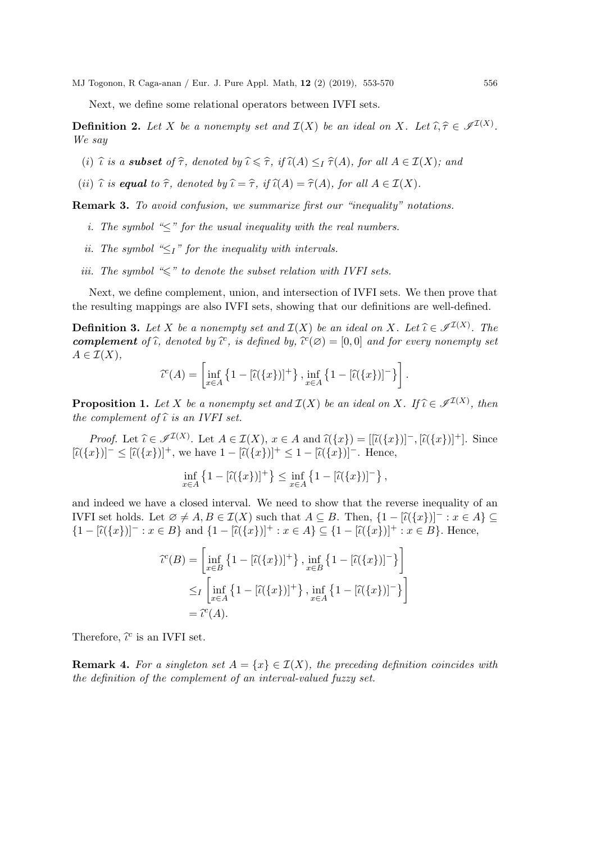Next, we define some relational operators between IVFI sets.

**Definition 2.** Let X be a nonempty set and  $\mathcal{I}(X)$  be an ideal on X. Let  $\widehat{\iota}, \widehat{\tau} \in \mathscr{I}^{\mathcal{I}(X)}$ . We say

- (i)  $\hat{\iota}$  is a **subset** of  $\hat{\tau}$ , denoted by  $\hat{\iota} \leq \hat{\tau}$ , if  $\hat{\iota}(A) \leq I \hat{\tau}(A)$ , for all  $A \in \mathcal{I}(X)$ ; and
- (ii)  $\hat{\iota}$  is equal to  $\hat{\tau}$ , denoted by  $\hat{\iota} = \hat{\tau}$ , if  $\hat{\iota}(A) = \hat{\tau}(A)$ , for all  $A \in \mathcal{I}(X)$ .

Remark 3. To avoid confusion, we summarize first our "inequality" notations.

- i. The symbol " $\leq$ " for the usual inequality with the real numbers.
- ii. The symbol " $\leq_l$ " for the inequality with intervals.
- iii. The symbol  $\ll$ " to denote the subset relation with IVFI sets.

Next, we define complement, union, and intersection of IVFI sets. We then prove that the resulting mappings are also IVFI sets, showing that our definitions are well-defined.

**Definition 3.** Let X be a nonempty set and  $\mathcal{I}(X)$  be an ideal on X. Let  $\hat{\iota} \in \mathcal{I}^{I(X)}$ . The complement of  $\hat{\iota}$  denoted by  $\hat{\iota}^c$  is defined by  $\hat{\iota}^c(\alpha) = [0, 0]$  and for every nonempty set **complement** of  $\hat{\iota}$ , denoted by  $\hat{\iota}^c$ , is defined by,  $\hat{\iota}^c(\emptyset) = [0,0]$  and for every nonempty set  $\Lambda \subset \mathcal{T}(X)$  $A \in \mathcal{I}(X),$ 

$$
\widehat{\iota}^c(A) = \left[ \inf_{x \in A} \left\{ 1 - [\widehat{\iota}(\{x\})]^+ \right\}, \inf_{x \in A} \left\{ 1 - [\widehat{\iota}(\{x\})]^-\right\} \right].
$$

**Proposition 1.** Let X be a nonempty set and  $\mathcal{I}(X)$  be an ideal on X. If  $\hat{\iota} \in \mathcal{I}^{\mathcal{I}(X)}$ , then the complement of  $\hat{\iota}$  is an *WEI* set the complement of  $\hat{\iota}$  is an IVFI set.

Proof. Let  $\hat{\iota} \in \mathcal{I}^{I(X)}$ . Let  $A \in \mathcal{I}(X)$ ,  $x \in A$  and  $\hat{\iota}(\{x\}) = [[\tilde{\iota}(\{x\})]^- , [\tilde{\iota}(\{x\})]^+ ]$ . Since  $[\hat{\iota}(\{x\})]^{\perp} \leq [\hat{\iota}(\{x\})]^{\perp}$ , we have  $1 - [\hat{\iota}(\{x\})]^{\perp} \leq 1 - [\hat{\iota}(\{x\})]^{\perp}$ . Hence,

$$
\inf_{x \in A} \left\{ 1 - [\hat{\iota}(\{x\})]^+ \right\} \le \inf_{x \in A} \left\{ 1 - [\hat{\iota}(\{x\})]^-\right\},\,
$$

and indeed we have a closed interval. We need to show that the reverse inequality of an IVFI set holds. Let  $\emptyset \neq A, B \in \mathcal{I}(X)$  such that  $A \subseteq B$ . Then,  $\{1 - [\hat{\iota}(\{x\})]^{\top} : x \in A\} \subseteq$  ${1 - |\hat{u}(\{x\})| = x \in B}$  and  ${1 - |\hat{u}(\{x\})|^+ : x \in A} \subseteq {1 - |\hat{u}(\{x\})|^+ : x \in B}$ . Hence,

$$
\begin{aligned} \mathcal{C}(B) &= \left[ \inf_{x \in B} \left\{ 1 - [\tilde{\iota}(\{x\})]^+ \right\}, \inf_{x \in B} \left\{ 1 - [\tilde{\iota}(\{x\})]^-\right\} \right] \\ &\leq_I \left[ \inf_{x \in A} \left\{ 1 - [\tilde{\iota}(\{x\})]^+ \right\}, \inf_{x \in A} \left\{ 1 - [\tilde{\iota}(\{x\})]^-\right\} \right] \\ &= \tilde{\iota}^c(A). \end{aligned}
$$

Therefore,  $\hat{\iota}^c$  is an IVFI set.

**Remark 4.** For a singleton set  $A = \{x\} \in \mathcal{I}(X)$ , the preceding definition coincides with the definition of the complement of an interval-valued fuzzy set.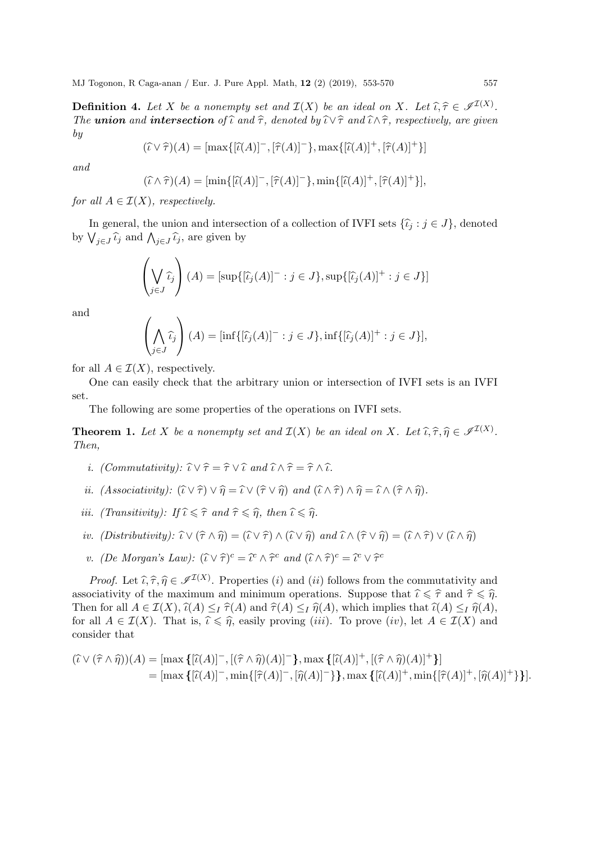**Definition 4.** Let X be a nonempty set and  $\mathcal{I}(X)$  be an ideal on X. Let  $\hat{\iota}, \hat{\tau} \in \mathcal{I}^{I(X)}$ .<br>The union and intersection of  $\hat{\iota}$  and  $\hat{\tau}$  denoted by  $\hat{\iota}/\hat{\tau}$  and  $\hat{\iota}/\hat{\tau}$  reconctively are given The union and intersection of  $\hat{\iota}$  and  $\hat{\tau}$ , denoted by  $\hat{\iota} \vee \hat{\tau}$  and  $\hat{\iota} \wedge \hat{\tau}$ , respectively, are given by

$$
(\widehat{\iota} \vee \widehat{\tau})(A) = [\max\{[\widehat{\iota}(A)]^{-}, [\widehat{\tau}(A)]^{-}\}, \max\{[\widehat{\iota}(A)]^{+}, [\widehat{\tau}(A)]^{+}\}]
$$

and

$$
(\widehat{\iota} \wedge \widehat{\tau})(A) = [\min\{[\widehat{\iota}(A)]^{-}, [\widehat{\tau}(A)]^{-}\}, \min\{[\widehat{\iota}(A)]^{+}, [\widehat{\tau}(A)]^{+}\}],
$$

for all  $A \in \mathcal{I}(X)$ , respectively.

In general, the union and intersection of a collection of IVFI sets  $\{\hat{\iota}_i : j \in J\}$ , denoted by  $\bigvee_{j\in J}\hat{\iota}_j$  and  $\bigwedge_{j\in J}\hat{\iota}_j$ , are given by

$$
\left(\bigvee_{j\in J}\widehat{\iota}_{j}\right)(A) = \left[\sup\{\left[\widehat{\iota}_{j}(A)\right]^{-}:j\in J\},\sup\{\left[\widehat{\iota}_{j}(A)\right]^{+}:j\in J\}\right]
$$

and

$$
\left(\bigwedge_{j\in J}\widehat{\iota}_j\right)(A) = [\inf\{[\widehat{\iota}_j(A)]^- : j \in J\}, \inf\{[\widehat{\iota}_j(A)]^+ : j \in J\}],
$$

for all  $A \in \mathcal{I}(X)$ , respectively.

One can easily check that the arbitrary union or intersection of IVFI sets is an IVFI set.

The following are some properties of the operations on IVFI sets.

**Theorem 1.** Let X be a nonempty set and  $\mathcal{I}(X)$  be an ideal on X. Let  $\widehat{\iota}, \widehat{\tau}, \widehat{\eta} \in \mathscr{I}^{\mathcal{I}(X)}$ .<br>Then Then,

- i. (Commutativity):  $\widehat{\iota} \vee \widehat{\tau} = \widehat{\tau} \vee \widehat{\iota}$  and  $\widehat{\iota} \wedge \widehat{\tau} = \widehat{\tau} \wedge \widehat{\iota}$ .
- ii. (Associativity):  $(\widehat{t} \vee \widehat{\tau}) \vee \widehat{\eta} = \widehat{t} \vee (\widehat{\tau} \vee \widehat{\eta})$  and  $(\widehat{t} \wedge \widehat{\tau}) \wedge \widehat{\eta} = \widehat{t} \wedge (\widehat{\tau} \wedge \widehat{\eta})$ .
- iii. (Transitivity): If  $\widehat{\iota} \leq \widehat{\tau}$  and  $\widehat{\tau} \leq \widehat{\eta}$ , then  $\widehat{\iota} \leq \widehat{\eta}$ .
- iv. (Distributivity):  $\widehat{\iota} \vee (\widehat{\tau} \wedge \widehat{\eta}) = (\widehat{\iota} \vee \widehat{\tau}) \wedge (\widehat{\iota} \vee \widehat{\eta})$  and  $\widehat{\iota} \wedge (\widehat{\tau} \vee \widehat{\eta}) = (\widehat{\iota} \wedge \widehat{\tau}) \vee (\widehat{\iota} \wedge \widehat{\eta})$
- v. (De Morgan's Law):  $(\widehat{\iota} \vee \widehat{\tau})^c = \widehat{\iota}^c \wedge \widehat{\tau}^c$  and  $(\widehat{\iota} \wedge \widehat{\tau})^c = \widehat{\iota}^c \vee \widehat{\tau}^c$

*Proof.* Let  $\hat{\iota}, \hat{\tau}, \hat{\eta} \in \mathcal{I}^{(X)}$ . Properties (i) and (ii) follows from the commutativity and positivity of the maximum and minimum approximations. Suppose that  $\hat{\iota} \leq \hat{\epsilon}$  and  $\hat{\epsilon} \leq \hat{\epsilon}$ associativity of the maximum and minimum operations. Suppose that  $\hat{\iota} \leq \hat{\tau}$  and  $\hat{\tau} \leq \hat{\eta}$ . Then for all  $A \in \mathcal{I}(X)$ ,  $\widehat{\iota}(A) \leq I \widehat{\tau}(A)$  and  $\widehat{\tau}(A) \leq I \widehat{\eta}(A)$ , which implies that  $\widehat{\iota}(A) \leq I \widehat{\eta}(A)$ , for all  $A \in \mathcal{I}(X)$ . That is,  $\hat{\iota} \leq \hat{\eta}$ , easily proving (*iii*). To prove (*iv*), let  $A \in \mathcal{I}(X)$  and consider that

$$
(\widehat{\iota} \vee (\widehat{\tau} \wedge \widehat{\eta}))(A) = [\max \{ [\widehat{\iota}(A)]^- , [(\widehat{\tau} \wedge \widehat{\eta})(A)]^- \}, \max \{ [\widehat{\iota}(A)]^+, [(\widehat{\tau} \wedge \widehat{\eta})(A)]^+ \} ]
$$
  
= [\max \{ [\widehat{\iota}(A)]^- , \min \{ [\widehat{\tau}(A)]^- , [\widehat{\eta}(A)]^- \} \}, \max \{ [\widehat{\iota}(A)]^+, \min \{ [\widehat{\tau}(A)]^+, [\widehat{\eta}(A)]^+ \} \}].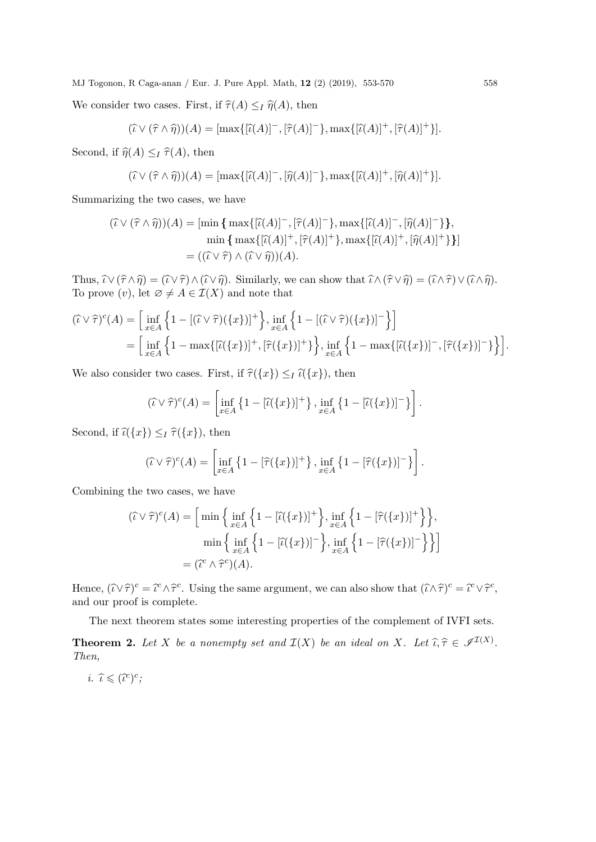We consider two cases. First, if  $\widehat{\tau}(A) \leq I \widehat{\eta}(A)$ , then

$$
(\widehat{\iota} \vee (\widehat{\tau} \wedge \widehat{\eta}))(A) = [\max\{[\widehat{\iota}(A)]^{-},[\widehat{\tau}(A)]^{-}\},\max\{[\widehat{\iota}(A)]^{+},[\widehat{\tau}(A)]^{+}\}].
$$

Second, if  $\widehat{\eta}(A) \leq I \widehat{\tau}(A)$ , then

$$
(\widehat{\iota} \vee (\widehat{\tau} \wedge \widehat{\eta}))(A) = [\max\{[\widehat{\iota}(A)]^{-},[\widehat{\eta}(A)]^{-}\},\max\{[\widehat{\iota}(A)]^{+},[\widehat{\eta}(A)]^{+}\}].
$$

Summarizing the two cases, we have

$$
(\hat{\iota} \vee (\hat{\tau} \wedge \hat{\eta}))(A) = [\min \{ \max\{[\hat{\iota}(A)]^{-}, [\hat{\tau}(A)]^{-}\}, \max\{[\hat{\iota}(A)]^{-}, [\hat{\eta}(A)]^{-}\}\},\
$$

$$
\min \{ \max\{[\hat{\iota}(A)]^{+}, [\hat{\tau}(A)]^{+}\}, \max\{[\hat{\iota}(A)]^{+}, [\hat{\eta}(A)]^{+}\}\} ]
$$

$$
= ((\hat{\iota} \vee \hat{\tau}) \wedge (\hat{\iota} \vee \hat{\eta}))(A).
$$

Thus,  $\widehat{\iota} \vee (\widehat{\tau} \wedge \widehat{\eta}) = (\widehat{\iota} \vee \widehat{\tau}) \wedge (\widehat{\iota} \vee \widehat{\eta})$ . Similarly, we can show that  $\widehat{\iota} \wedge (\widehat{\tau} \vee \widehat{\eta}) = (\widehat{\iota} \wedge \widehat{\tau}) \vee (\widehat{\iota} \wedge \widehat{\eta})$ . To prove  $(v)$ , let  $\emptyset \neq A \in \mathcal{I}(X)$  and note that

$$
(\widehat{\iota} \vee \widehat{\tau})^c(A) = \Big[ \inf_{x \in A} \Big\{ 1 - [(\widehat{\iota} \vee \widehat{\tau})(\{x\})]^+ \Big\}, \inf_{x \in A} \Big\{ 1 - [(\widehat{\iota} \vee \widehat{\tau})(\{x\})]^-\Big\} \Big]
$$
  
= 
$$
\Big[ \inf_{x \in A} \Big\{ 1 - \max\{ [\widehat{\iota}(\{x\})]^+, [\widehat{\tau}(\{x\})]^+\} \Big\}, \inf_{x \in A} \Big\{ 1 - \max\{ [\widehat{\iota}(\{x\})]^-, [\widehat{\tau}(\{x\})]^-\} \Big\} \Big].
$$

We also consider two cases. First, if  $\hat{\tau}(\{x\}) \leq I \hat{\iota}(\{x\})$ , then

$$
(\widehat{\iota} \vee \widehat{\tau})^c(A) = \left[ \inf_{x \in A} \left\{ 1 - [\widehat{\iota}(\{x\})]^+ \right\}, \inf_{x \in A} \left\{ 1 - [\widehat{\iota}(\{x\})]^-\right\} \right].
$$

Second, if  $\widehat{\iota}(\{x\}) \leq I \widehat{\tau}(\{x\})$ , then

$$
(\widehat{\iota} \vee \widehat{\tau})^c(A) = \left[ \inf_{x \in A} \left\{ 1 - [\widehat{\tau}(\{x\})]^+ \right\}, \inf_{x \in A} \left\{ 1 - [\widehat{\tau}(\{x\})]^- \right\} \right].
$$

Combining the two cases, we have

$$
(\widehat{\iota} \vee \widehat{\tau})^c(A) = \Big[\min\Big\{\inf_{x \in A} \Big\{1 - [\widehat{\iota}(\{x\})]^+\Big\}, \inf_{x \in A} \Big\{1 - [\widehat{\tau}(\{x\})]^+\Big\}\Big\},\
$$

$$
\min\Big\{\inf_{x \in A} \Big\{1 - [\widehat{\iota}(\{x\})]^-\Big\}, \inf_{x \in A} \Big\{1 - [\widehat{\tau}(\{x\})]^-\Big\}\Big\}
$$

$$
= (\widehat{\iota}^c \wedge \widehat{\tau}^c)(A).
$$

Hence,  $(\hat{i} \vee \hat{\tau})^c = \hat{i}^c \wedge \hat{\tau}^c$ . Using the same argument, we can also show that  $(\hat{i} \wedge \hat{\tau})^c = \hat{i}^c \vee \hat{\tau}^c$ , and our proof is complete.

The next theorem states some interesting properties of the complement of IVFI sets.

**Theorem 2.** Let X be a nonempty set and  $\mathcal{I}(X)$  be an ideal on X. Let  $\hat{\iota}, \hat{\tau} \in \mathcal{I}^{I(X)}$ .<br>Then Then,

i.  $\widehat{\iota} \leqslant (\widehat{\iota}^c)^c;$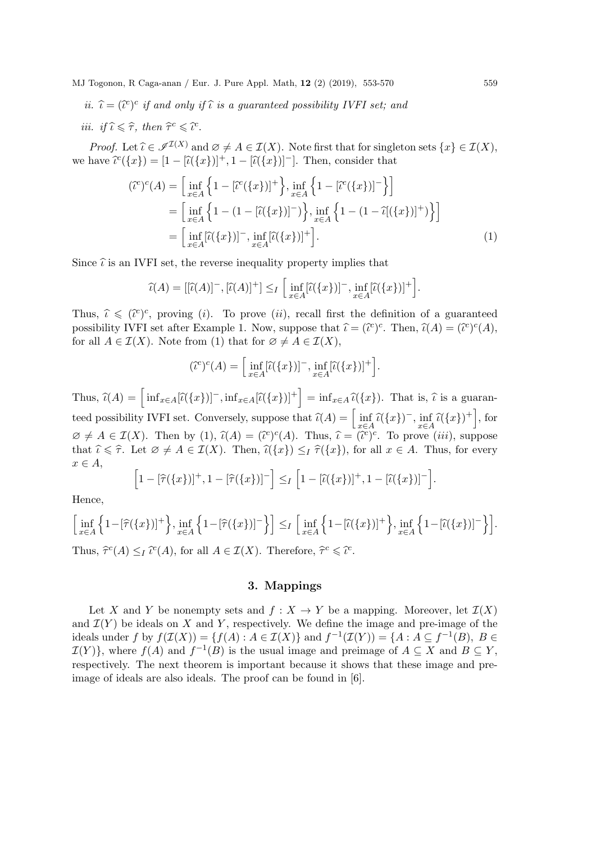ii.  $\hat{\iota} = (\hat{\iota}^c)^c$  if and only if  $\hat{\iota}$  is a guaranteed possibility IVFI set; and iii. if  $\widehat{\iota} \leq \widehat{\tau}$ , then  $\widehat{\tau}^c \leq \widehat{\iota}^c$ .

*Proof.* Let  $\hat{\iota} \in \mathcal{I}^{I(X)}$  and  $\emptyset \neq A \in I(X)$ . Note first that for singleton sets  $\{x\} \in I(X)$ , we have  $\widehat{\iota}^c({x}) = [1 - [\widehat{\iota}({x})]^+, 1 - [\widehat{\iota}({x})^-]$ . Then, consider that

$$
(\tilde{\iota}^{c})^{c}(A) = \Big[\inf_{x \in A} \Big\{ 1 - [\tilde{\iota}^{c}(\{x\})]^{+}\Big\}, \inf_{x \in A} \Big\{ 1 - [\tilde{\iota}^{c}(\{x\})]^{-}\Big\}\Big] = \Big[\inf_{x \in A} \Big\{ 1 - (1 - [\tilde{\iota}(\{x\})]^{-})\Big\}, \inf_{x \in A} \Big\{ 1 - (1 - \tilde{\iota}((\{x\})]^{+})\Big\}\Big] = \Big[\inf_{x \in A} [\tilde{\iota}(\{x\})]^{-}, \inf_{x \in A} [\tilde{\iota}(\{x\})]^{+}\Big].
$$
 (1)

Since  $\hat{\iota}$  is an IVFI set, the reverse inequality property implies that

$$
\widehat{\iota}(A) = [[\widehat{\iota}(A)]^-, [\widehat{\iota}(A)]^+] \leq I \left[ \inf_{x \in A} [\widehat{\iota}(\{x\})]^-, \inf_{x \in A} [\widehat{\iota}(\{x\})]^+ \right].
$$

Thus,  $\hat{\iota} \leq (\hat{\iota}^c)^c$ , proving (*i*). To prove (*ii*), recall first the definition of a guaranteed<br>proveibility WEI at often Example 1. Now guaranteed that  $\hat{\iota} = (\hat{\iota}^c)^c$ . Then  $\hat{\iota}^d$   $(1) = (\hat{\iota}^c)^c (4)$ . possibility IVFI set after Example 1. Now, suppose that  $\hat{\iota} = (\hat{\iota}^c)^c$ . Then,  $\hat{\iota}(A) = (\hat{\iota}^c)^c(A)$ , for all  $A \in \mathcal{I}(X)$ . Note from (1) that for  $\alpha \neq A \in \mathcal{I}(X)$ . for all  $A \in \mathcal{I}(X)$ . Note from (1) that for  $\emptyset \neq A \in \mathcal{I}(X)$ ,

$$
(\tilde{\iota}^c)^c(A) = \Big[\inf_{x \in A} [\tilde{\iota}(\{x\})]^-, \inf_{x \in A} [\tilde{\iota}(\{x\})]^+\Big].
$$

Thus,  $\widehat{\iota}(A) = \left[ \inf_{x \in A} [\widehat{\iota}(\{x\})]^-, \inf_{x \in A} [\widehat{\iota}(\{x\})]^+ \right] = \inf_{x \in A} \widehat{\iota}(\{x\})$ . That is,  $\widehat{\iota}$  is a guaranteed possibility IVFI set. Conversely, suppose that  $\hat{\iota}(A) = \left[ \inf_{x \in A} \hat{\iota}(\{x\})^-, \inf_{x \in A} \hat{\iota}(\{x\})^+ \right]$ , for  $\emptyset \neq A \in \mathcal{I}(X)$ . Then by (1),  $\widehat{\iota}(A) = (\widehat{\iota}^c)^c(A)$ . Thus,  $\widehat{\iota} = (\widehat{\iota}^c)^c$ . To prove (*iii*), suppose that  $\hat{\iota} \leq \hat{\tau}$ . Let  $\emptyset \neq A \in \mathcal{I}(X)$ . Then,  $\hat{\iota}(\{x\}) \leq_I \hat{\tau}(\{x\})$ , for all  $x \in A$ . Thus, for every  $x \in A$ ,

$$
\left[1-[\widehat{\tau}(\{x\})]^+, 1-[\widehat{\tau}(\{x\})]^{-}\right] \leq I \left[1-[\widehat{\iota}(\{x\})]^+, 1-[\widehat{\iota}(\{x\})]^{-}\right].
$$

Hence,

$$
\Big[\inf_{x\in A}\Big\{1-[\widehat{\tau}(\{x\})]^+\Big\},\inf_{x\in A}\Big\{1-[\widehat{\tau}(\{x\})]^-\Big\}\Big]\leq I\Big[\inf_{x\in A}\Big\{1-[\widehat{\iota}(\{x\})]^+\Big\},\inf_{x\in A}\Big\{1-[\widehat{\iota}(\{x\})]^-\Big\}\Big].
$$

Thus,  $\hat{\tau}^c(A) \leq_I \hat{\iota}^c(A)$ , for all  $A \in \mathcal{I}(X)$ . Therefore,  $\hat{\tau}^c \leq \hat{\iota}^c$ .

# 3. Mappings

Let X and Y be nonempty sets and  $f : X \to Y$  be a mapping. Moreover, let  $\mathcal{I}(X)$ and  $\mathcal{I}(Y)$  be ideals on X and Y, respectively. We define the image and pre-image of the ideals under f by  $f(\mathcal{I}(X)) = \{f(A) : A \in \mathcal{I}(X)\}\$ and  $f^{-1}(\mathcal{I}(Y)) = \{A : A \subseteq f^{-1}(B), B \in \mathcal{I}(X)\}\$  $\mathcal{I}(Y)$ , where  $f(A)$  and  $f^{-1}(B)$  is the usual image and preimage of  $A \subseteq X$  and  $B \subseteq Y$ , respectively. The next theorem is important because it shows that these image and preimage of ideals are also ideals. The proof can be found in [6].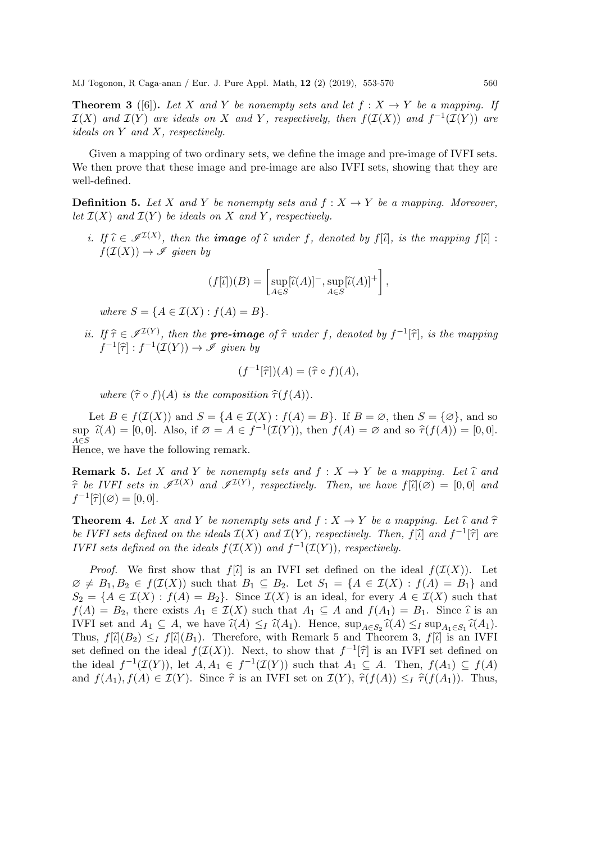**Theorem 3** ([6]). Let X and Y be nonempty sets and let  $f : X \rightarrow Y$  be a mapping. If  $\mathcal{I}(X)$  and  $\mathcal{I}(Y)$  are ideals on X and Y, respectively, then  $f(\mathcal{I}(X))$  and  $f^{-1}(\mathcal{I}(Y))$  are ideals on Y and X, respectively.

Given a mapping of two ordinary sets, we define the image and pre-image of IVFI sets. We then prove that these image and pre-image are also IVFI sets, showing that they are well-defined.

**Definition 5.** Let X and Y be nonempty sets and  $f: X \to Y$  be a mapping. Moreover, let  $\mathcal{I}(X)$  and  $\mathcal{I}(Y)$  be ideals on X and Y, respectively.

i. If  $\hat{\iota} \in \mathscr{I}^{I(X)}$ , then the **image** of  $\hat{\iota}$  under f, denoted by f[ $\hat{\iota}$ ], is the mapping f[ $\hat{\iota}$ ] :  $f(\mathcal{I}(X)) \to \mathscr{I}$  given by

$$
(f[\tilde{\iota}]) (B) = \left[ \sup_{A \in S} [\tilde{\iota}(A)]^-, \sup_{A \in S} [\tilde{\iota}(A)]^+ \right],
$$

where  $S = \{A \in \mathcal{I}(X) : f(A) = B\}.$ 

*ii.* If  $\hat{\tau} \in \mathscr{I}^{\mathcal{I}(Y)}$ , then the **pre-image** of  $\hat{\tau}$  under f, denoted by  $f^{-1}[\hat{\tau}]$ , is the mapping  $f^{-1}[\hat{\tau}]$ ,  $f^{-1}(\tau(Y))$ ,  $\hat{\mathscr{I}}$  given by  $f^{-1}[\hat{\tau}] : f^{-1}(\mathcal{I}(Y)) \to \mathscr{I}$  given by

$$
(f^{-1}[\hat{\tau}])(A) = (\hat{\tau} \circ f)(A),
$$

where  $(\widehat{\tau} \circ f)(A)$  is the composition  $\widehat{\tau}(f(A))$ .

Let  $B \in f(\mathcal{I}(X))$  and  $S = \{A \in \mathcal{I}(X) : f(A) = B\}$ . If  $B = \emptyset$ , then  $S = \{\emptyset\}$ , and so  $\sup_{A\in S} \hat{\iota}(A) = [0,0].$  Also, if  $\varnothing = A \in f^{-1}(\mathcal{I}(Y)),$  then  $f(A) = \varnothing$  and so  $\hat{\tau}(f(A)) = [0,0].$ A∈S Hence, we have the following remark.

**Remark 5.** Let X and Y be nonempty sets and  $f : X \to Y$  be a mapping. Let  $\hat{\iota}$  and  $\hat{\tau}$  be IVFI sets in  $\mathscr{I}^{I(X)}$  and  $\mathscr{I}^{I(Y)}$ , respectively. Then, we have  $f[\hat{\iota}](\emptyset) = [0,0]$  and  $f^{-1}[\hat{\tau}](\emptyset) = [0,0]$  $f^{-1}[\hat{\tau}](\varnothing) = [0, 0].$ 

**Theorem 4.** Let X and Y be nonempty sets and  $f : X \to Y$  be a mapping. Let  $\hat{\iota}$  and  $\hat{\tau}$ be IVFI sets defined on the ideals  $\mathcal{I}(X)$  and  $\mathcal{I}(Y)$ , respectively. Then,  $f[\tilde{\iota}]$  and  $f^{-1}[\tilde{\tau}]$  are<br>*IVFI* sets defined on the ideals  $f(\mathcal{I}(Y))$  and  $f^{-1}(\mathcal{I}(Y))$ , respectively. *IVFI* sets defined on the ideals  $f(\mathcal{I}(X))$  and  $f^{-1}(\mathcal{I}(Y))$ , respectively.

*Proof.* We first show that  $f[\tilde{\iota}]$  is an IVFI set defined on the ideal  $f(\mathcal{I}(X))$ . Let  $\emptyset \neq B_1, B_2 \in f(\mathcal{I}(X))$  such that  $B_1 \subseteq B_2$ . Let  $S_1 = \{A \in \mathcal{I}(X) : f(A) = B_1\}$  and  $S_2 = \{A \in \mathcal{I}(X) : f(A) = B_2\}.$  Since  $\mathcal{I}(X)$  is an ideal, for every  $A \in \mathcal{I}(X)$  such that  $f(A) = B_2$ , there exists  $A_1 \in \mathcal{I}(X)$  such that  $A_1 \subseteq A$  and  $f(A_1) = B_1$ . Since  $\hat{\iota}$  is an IVFI set and  $A_1 \subseteq A$ , we have  $\hat{\iota}(A) \leq_I \hat{\iota}(A_1)$ . Hence,  $\sup_{A \in S_2} \hat{\iota}(A) \leq_I \sup_{A_1 \in S_1} \hat{\iota}(A_1)$ .<br>Thus  $f(\hat{\iota}(A)) \leq_I f(\hat{\iota}(A))$ . Therefore, with Bennell 5 and Theorem 2,  $f(\hat{\iota})$  is an IVEI Thus,  $f[\hat{l}(B_2) \leq I f[\hat{l}(B_1)]$ . Therefore, with Remark 5 and Theorem 3,  $f[\hat{l}]$  is an IVFI set defined on the ideal  $f(\mathcal{I}(X))$ . Next, to show that  $f^{-1}[\hat{\tau}]$  is an IVFI set defined on<br>the ideal  $f^{-1}(\tau(V))$  let  $A, A \subset f^{-1}(\tau(V))$  such that  $A \subset A$ . Then  $f(A) \subset f(A)$ the ideal  $f^{-1}(\mathcal{I}(Y))$ , let  $A, A_1 \in f^{-1}(\mathcal{I}(Y))$  such that  $A_1 \subseteq A$ . Then,  $f(A_1) \subseteq f(A)$ and  $f(A_1), f(A) \in \mathcal{I}(Y)$ . Since  $\hat{\tau}$  is an IVFI set on  $\mathcal{I}(Y)$ ,  $\hat{\tau}(f(A)) \leq I \hat{\tau}(f(A))$ . Thus,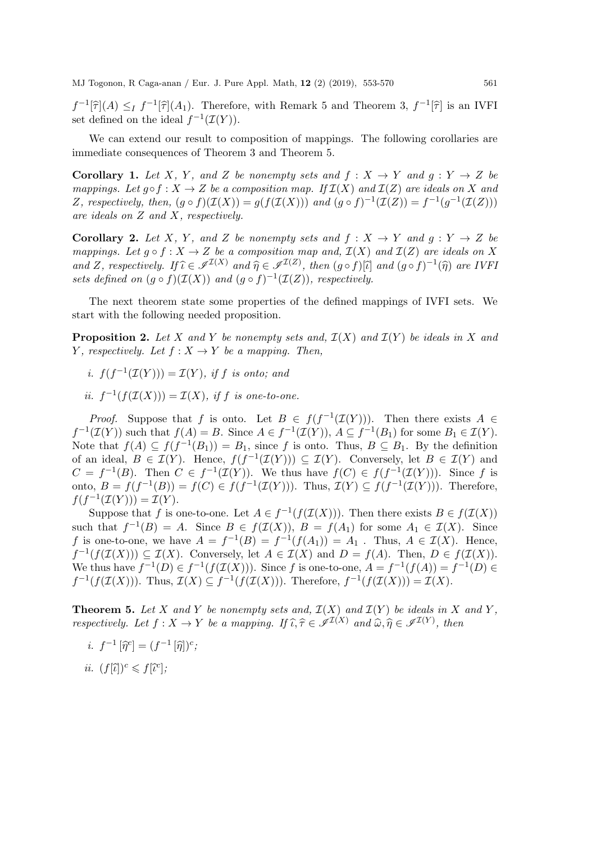$f^{-1}[\hat{\tau}](A) \leq f^{-1}[\hat{\tau}](A_1)$ . Therefore, with Remark 5 and Theorem 3,  $f^{-1}[\hat{\tau}]$  is an IVFI<br>set defined on the ideal  $f^{-1}(\tau(V))$ set defined on the ideal  $f^{-1}(\mathcal{I}(Y)).$ 

We can extend our result to composition of mappings. The following corollaries are immediate consequences of Theorem 3 and Theorem 5.

**Corollary 1.** Let X, Y, and Z be nonempty sets and  $f : X \rightarrow Y$  and  $g : Y \rightarrow Z$  be mappings. Let  $q \circ f : X \to Z$  be a composition map. If  $\mathcal{I}(X)$  and  $\mathcal{I}(Z)$  are ideals on X and Z, respectively, then,  $(g \circ f)(\mathcal{I}(X)) = g(f(\mathcal{I}(X)))$  and  $(g \circ f)^{-1}(\mathcal{I}(Z)) = f^{-1}(g^{-1}(\mathcal{I}(Z)))$ are ideals on Z and X, respectively.

**Corollary 2.** Let X, Y, and Z be nonempty sets and  $f: X \rightarrow Y$  and  $g: Y \rightarrow Z$  be mappings. Let  $g \circ f : X \to Z$  be a composition map and,  $\mathcal{I}(X)$  and  $\mathcal{I}(Z)$  are ideals on X and Z, respectively. If  $\hat{\iota} \in \mathscr{I}^{I(X)}$  and  $\hat{\eta} \in \mathscr{I}^{I(Z)}$ , then  $(g \circ f)[\hat{\iota}]$  and  $(g \circ f)^{-1}(\hat{\eta})$  are IVFI<br>sets defined on  $(g \circ f)(\mathcal{I}(X))$  and  $(g \circ f)^{-1}(\mathcal{I}(Z))$  respectively. sets defined on  $(g \circ f)(\mathcal{I}(X))$  and  $(g \circ f)^{-1}(\mathcal{I}(Z))$ , respectively.

The next theorem state some properties of the defined mappings of IVFI sets. We start with the following needed proposition.

**Proposition 2.** Let X and Y be nonempty sets and,  $\mathcal{I}(X)$  and  $\mathcal{I}(Y)$  be ideals in X and Y, respectively. Let  $f: X \to Y$  be a mapping. Then,

- i.  $f(f^{-1}(\mathcal{I}(Y))) = \mathcal{I}(Y)$ , if f is onto; and
- ii.  $f^{-1}(f(\mathcal{I}(X))) = \mathcal{I}(X)$ , if f is one-to-one.

*Proof.* Suppose that f is onto. Let  $B \in f(f^{-1}(\mathcal{I}(Y)))$ . Then there exists  $A \in$  $f^{-1}(\mathcal{I}(Y))$  such that  $f(A) = B$ . Since  $A \in f^{-1}(\mathcal{I}(Y)), A \subseteq f^{-1}(B_1)$  for some  $B_1 \in \mathcal{I}(Y)$ . Note that  $f(A) \subseteq f(f^{-1}(B_1)) = B_1$ , since f is onto. Thus,  $B \subseteq B_1$ . By the definition of an ideal,  $B \in \mathcal{I}(Y)$ . Hence,  $f(f^{-1}(\mathcal{I}(Y))) \subseteq \mathcal{I}(Y)$ . Conversely, let  $B \in \mathcal{I}(Y)$  and  $C = f^{-1}(B)$ . Then  $C \in f^{-1}(\mathcal{I}(Y))$ . We thus have  $f(C) \in f(f^{-1}(\mathcal{I}(Y)))$ . Since f is onto,  $B = f(f^{-1}(B)) = f(C) \in f(f^{-1}(\mathcal{I}(Y)))$ . Thus,  $\mathcal{I}(Y) \subseteq f(f^{-1}(\mathcal{I}(Y)))$ . Therefore,  $f(f^{-1}(\mathcal{I}(Y))) = \mathcal{I}(Y).$ 

Suppose that f is one-to-one. Let  $A \in f^{-1}(f(\mathcal{I}(X)))$ . Then there exists  $B \in f(\mathcal{I}(X))$ such that  $f^{-1}(B) = A$ . Since  $B \in f(\mathcal{I}(X))$ ,  $B = f(A_1)$  for some  $A_1 \in \mathcal{I}(X)$ . Since f is one-to-one, we have  $A = f^{-1}(B) = f^{-1}(f(A_1)) = A_1$ . Thus,  $A \in \mathcal{I}(X)$ . Hence,  $f^{-1}(f(\mathcal{I}(X))) \subseteq \mathcal{I}(X)$ . Conversely, let  $A \in \mathcal{I}(X)$  and  $D = f(A)$ . Then,  $D \in f(\mathcal{I}(X))$ . We thus have  $f^{-1}(D) \in f^{-1}(f(\mathcal{I}(X)))$ . Since f is one-to-one,  $A = f^{-1}(f(A)) = f^{-1}(D)$  $f^{-1}(f(\mathcal{I}(X)))$ . Thus,  $\mathcal{I}(X) \subseteq f^{-1}(f(\mathcal{I}(X)))$ . Therefore,  $f^{-1}(f(\mathcal{I}(X))) = \mathcal{I}(X)$ .

**Theorem 5.** Let X and Y be nonempty sets and,  $\mathcal{I}(X)$  and  $\mathcal{I}(Y)$  be ideals in X and Y, respectively. Let  $f: X \to Y$  be a mapping. If  $\widehat{\iota}, \widehat{\tau} \in \mathscr{I}^{\mathcal{I}(X)}$  and  $\widehat{\omega}, \widehat{\eta} \in \mathscr{I}^{\mathcal{I}(Y)}$ , then

- *i.*  $f^{-1}[\hat{\eta}^c] = (f^{-1}[\hat{\eta}])^c;$
- *ii.*  $(f[\tilde{\iota}])^c \leq f[\tilde{\iota}^c];$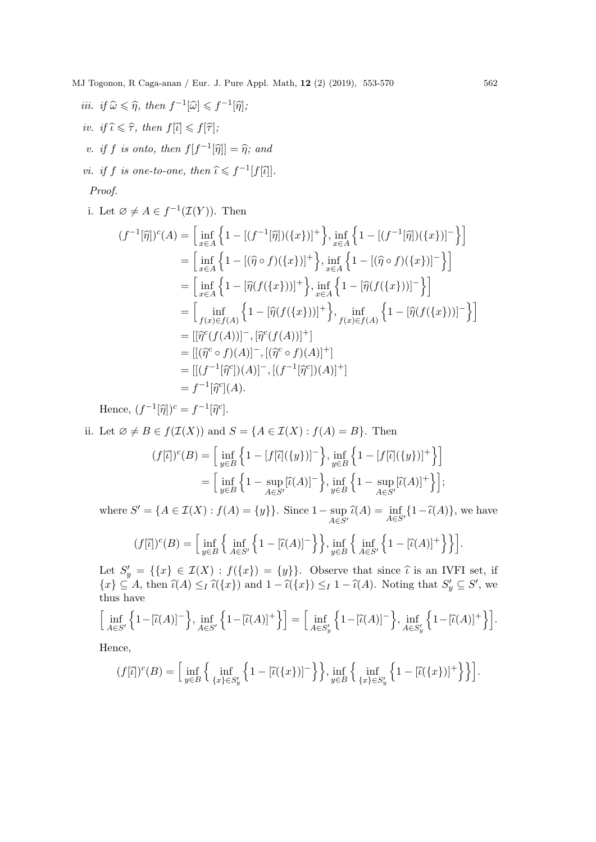\n
$$
\text{iii. if } \hat{\omega} \leq \hat{\eta}, \text{ then } f^{-1}[\hat{\omega}] \leq f^{-1}[\hat{\eta}];
$$
\n

\n\n $\text{iv. if } \hat{\tau} \leq \hat{\tau}, \text{ then } f[\hat{\iota}] \leq f[\hat{\tau}];$ \n

\n\n $\text{v. if } f \text{ is onto, then } f[f^{-1}[\hat{\eta}]] = \hat{\eta}; \text{ and } f \text{ is in } f \text{ is one-to-one, then } \hat{\iota} \leq f^{-1}[f[\hat{\iota}]].$ \n

\n\n $\text{iv. if } f \text{ is one-to-one, then } \hat{\iota} \leq f^{-1}[f[\hat{\iota}]].$ \n

Proof.

i. Let  $\varnothing \neq A \in f^{-1}(\mathcal{I}(Y))$ . Then

$$
(f^{-1}[\hat{\eta}])^{c}(A) = \left[\inf_{x \in A} \left\{1 - [(f^{-1}[\hat{\eta}])(\{x\})]^{+}\right\}, \inf_{x \in A} \left\{1 - [(f^{-1}[\hat{\eta}])(\{x\})]^{-}\right\}\right]
$$
  
\n
$$
= \left[\inf_{x \in A} \left\{1 - [(\hat{\eta} \circ f)(\{x\})]^{+}\right\}, \inf_{x \in A} \left\{1 - [(\hat{\eta} \circ f)(\{x\})]^{-}\right\}\right]
$$
  
\n
$$
= \left[\inf_{x \in A} \left\{1 - [\hat{\eta}(f(\{x\}))]^{+}\right\}, \inf_{x \in A} \left\{1 - [\hat{\eta}(f(\{x\}))]^{-}\right\}\right]
$$
  
\n
$$
= \left[\inf_{f(x) \in f(A)} \left\{1 - [\hat{\eta}(f(\{x\}))]^{+}\right\}, \inf_{f(x) \in f(A)} \left\{1 - [\hat{\eta}(f(\{x\}))]^{-}\right\}\right]
$$
  
\n
$$
= [[\hat{\eta}^{c}(f(A))]^{-}, [\hat{\eta}^{c}(f(A))]^{+}]
$$
  
\n
$$
= [[(\hat{\eta}^{c} \circ f)(A)]^{-}, [(\hat{\eta}^{c} \circ f)(A)]^{+}]
$$
  
\n
$$
= [[(f^{-1}[\hat{\eta}^{c}](A)]^{-}, [(f^{-1}[\hat{\eta}^{c}](A)]^{+}]
$$
  
\n
$$
= f^{-1}[\hat{\eta}^{c}(A).
$$

Hence,  $(f^{-1}[\hat{\eta}])^c = f^{-1}[\hat{\eta}^c].$ 

ii. Let  $\emptyset \neq B \in f(\mathcal{I}(X))$  and  $S = \{A \in \mathcal{I}(X) : f(A) = B\}$ . Then

$$
(f[\tilde{\iota}])^c(B) = \left[\inf_{y \in B} \left\{1 - [f[\tilde{\iota}](\{y\})]^{-}\right\}, \inf_{y \in B} \left\{1 - [f[\tilde{\iota}](\{y\})]^{+}\right\}\right]
$$

$$
= \left[\inf_{y \in B} \left\{1 - \sup_{A \in S'} [\tilde{\iota}(A)]^{-}\right\}, \inf_{y \in B} \left\{1 - \sup_{A \in S'} [\tilde{\iota}(A)]^{+}\right\}\right];
$$

where  $S' = \{A \in \mathcal{I}(X) : f(A) = \{y\}\}\.$  Since  $1 - \sup$  $\sup_{A \in S'} \hat{\iota}(A) = \inf_{A \in S'} \{1 - \hat{\iota}(A)\}\text{, we have}$ 

$$
(f[\tilde{\iota}])^{c}(B) = \Big[\inf_{y \in B} \Big\{ \inf_{A \in S'} \Big\{ 1 - [\tilde{\iota}(A)]^{-} \Big\} \Big\}, \inf_{y \in B} \Big\{ \inf_{A \in S'} \Big\{ 1 - [\tilde{\iota}(A)]^{+} \Big\} \Big\} \Big].
$$

Let  $S'_y = \{\{x\} \in \mathcal{I}(X) : f(\{x\}) = \{y\}\}\.$  Observe that since  $\hat{\iota}$  is an IVFI set, if  $\{\xi_x\} \subset A$ , then  $\hat{\iota}(A) \leq \hat{\iota}(x)$  and  $1 - \hat{\iota}(x) \leq 1 - \hat{\iota}(A)$ . Noting that  $S' \subset S'$  was  $\{x\} \subseteq A$ , then  $\widehat{\iota}(A) \leq I \widehat{\iota}(\{x\})$  and  $1 - \widehat{\iota}(\{x\}) \leq I \widehat{\iota}(\{A\})$ . Noting that  $S'_y \subseteq S'$ , we thus have thus have

$$
\Big[\inf_{A\in S'}\Big\{1-[\widehat{\iota}(A)]^-\Big\},\inf_{A\in S'}\Big\{1-[\widehat{\iota}(A)]^+\Big\}\Big]=\Big[\inf_{A\in S'_y}\Big\{1-[\widehat{\iota}(A)]^-\Big\},\inf_{A\in S'_y}\Big\{1-[\widehat{\iota}(A)]^+\Big\}\Big].
$$

Hence,

$$
(f[\tilde{\iota}])^{c}(B) = \left[\inf_{y \in B} \left\{ \inf_{\{x\} \in S_{y}'} \left\{ 1 - [\tilde{\iota}(\{x\})]^{-} \right\} \right\}, \inf_{y \in B} \left\{ \inf_{\{x\} \in S_{y}'} \left\{ 1 - [\tilde{\iota}(\{x\})]^{+} \right\} \right\} \right].
$$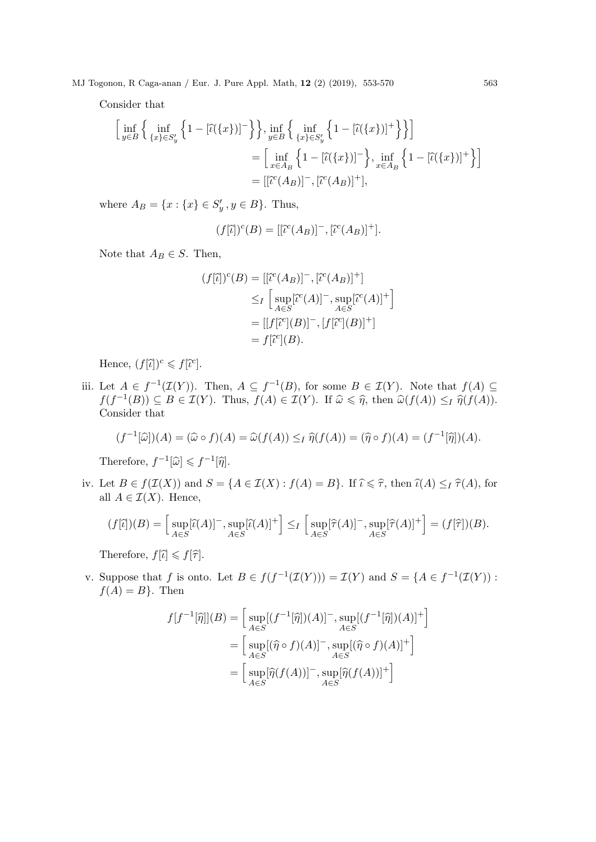Consider that

$$
\left[\inf_{y\in B}\left\{\inf_{\{x\}\in S'_y}\left\{1-\left[\tilde{\iota}(\{x\})\right]^{-}\right\}\right\}, \inf_{y\in B}\left\{\inf_{\{x\}\in S'_y}\left\{1-\left[\tilde{\iota}(\{x\})\right]^{+}\right\}\right\}\right]
$$
\n
$$
=\left[\inf_{x\in A_B}\left\{1-\left[\tilde{\iota}(\{x\})\right]^{-}\right\}, \inf_{x\in A_B}\left\{1-\left[\tilde{\iota}(\{x\})\right]^{+}\right\}\right]
$$
\n
$$
=\left[\left[\tilde{\iota}^c(A_B)\right]^{-}, \left[\tilde{\iota}^c(A_B)\right]^{+}\right],
$$

where  $A_B = \{x : \{x\} \in S'_y, y \in B\}$ . Thus,

$$
(f[\tilde{\iota}])^c(B) = [[\tilde{\iota}^c(A_B)]^- , [\tilde{\iota}^c(A_B)]^+].
$$

Note that  $A_B \in S$ . Then,

$$
(f[\tilde{\iota}])^c(B) = [[\tilde{\iota}^c(A_B)]^-, [\tilde{\iota}^c(A_B)]^+]
$$
  
\n
$$
\leq_I \left[ \sup_{A \in S} [\tilde{\iota}^c(A)]^-, \sup_{A \in S} [\tilde{\iota}^c(A)]^+ \right]
$$
  
\n
$$
= [[f[\tilde{\iota}^c](B)]^-, [f[\tilde{\iota}^c](B)]^+]
$$
  
\n
$$
= f[\tilde{\iota}^c](B).
$$

Hence,  $(f[\tilde{\iota}])^c \leq f[\tilde{\iota}^c]$ .

iii. Let  $A \in f^{-1}(\mathcal{I}(Y))$ . Then,  $A \subseteq f^{-1}(B)$ , for some  $B \in \mathcal{I}(Y)$ . Note that  $f(A) \subseteq$  $f(f^{-1}(B)) \subseteq B \in \mathcal{I}(Y)$ . Thus,  $f(A) \in \mathcal{I}(Y)$ . If  $\widehat{\omega} \leq \widehat{\eta}$ , then  $\widehat{\omega}(f(A)) \leq I \widehat{\eta}(f(A))$ .<br>Consider that Consider that

$$
(f^{-1}[\widehat{\omega}]) (A) = (\widehat{\omega} \circ f)(A) = \widehat{\omega}(f(A)) \leq_I \widehat{\eta}(f(A)) = (\widehat{\eta} \circ f)(A) = (f^{-1}[\widehat{\eta}])(A).
$$

Therefore,  $f^{-1}[\widehat{\omega}] \leq f^{-1}[\widehat{\eta}].$ 

iv. Let  $B \in f(\mathcal{I}(X))$  and  $S = \{A \in \mathcal{I}(X) : f(A) = B\}$ . If  $\widehat{\iota} \leq \widehat{\tau}$ , then  $\widehat{\iota}(A) \leq I \widehat{\tau}(A)$ , for all  $A \in \mathcal{I}(X)$ . Hence,

$$
(f[\tilde{\iota}])(B) = \left[\sup_{A \in S} [\tilde{\iota}(A)]^-, \sup_{A \in S} [\tilde{\iota}(A)]^+\right] \leq_I \left[\sup_{A \in S} [\hat{\tau}(A)]^-, \sup_{A \in S} [\hat{\tau}(A)]^+\right] = (f[\hat{\tau}])(B).
$$

Therefore,  $f[\hat{\iota}] \leq f[\hat{\tau}].$ 

v. Suppose that f is onto. Let  $B \in f(f^{-1}(\mathcal{I}(Y))) = \mathcal{I}(Y)$  and  $S = \{A \in f^{-1}(\mathcal{I}(Y))$ :  $f(A) = B$ . Then

$$
f[f^{-1}[\widehat{\eta}]](B) = \left[\sup_{A \in S} [(f^{-1}[\widehat{\eta}]) (A)]^-, \sup_{A \in S} [(f^{-1}[\widehat{\eta}]) (A)]^+\right]
$$
  

$$
= \left[\sup_{A \in S} [(\widehat{\eta} \circ f)(A)]^-, \sup_{A \in S} [(\widehat{\eta} \circ f)(A)]^+\right]
$$
  

$$
= \left[\sup_{A \in S} [\widehat{\eta}(f(A))]^-, \sup_{A \in S} [\widehat{\eta}(f(A))]^+\right]
$$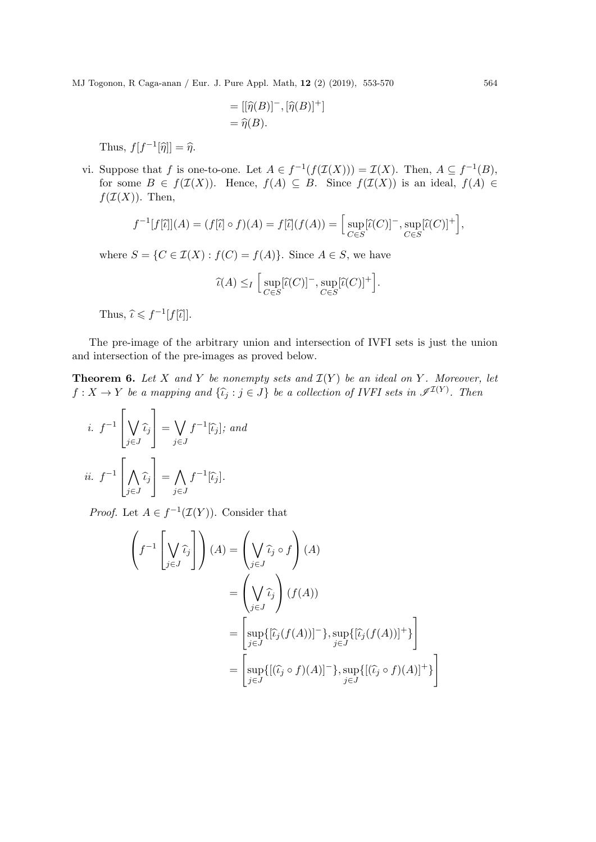$$
= [[\widehat{\eta}(B)]^{-}, [\widehat{\eta}(B)]^{+}]
$$
  
=  $\widehat{\eta}(B)$ .

Thus,  $f[f^{-1}[\hat{\eta}]]=\hat{\eta}$ .

vi. Suppose that f is one-to-one. Let  $A \in f^{-1}(f(\mathcal{I}(X))) = \mathcal{I}(X)$ . Then,  $A \subseteq f^{-1}(B)$ , for some  $B \in f(\mathcal{I}(X))$ . Hence,  $f(A) \subseteq B$ . Since  $f(\mathcal{I}(X))$  is an ideal,  $f(A) \in$  $f(\mathcal{I}(X))$ . Then,

$$
f^{-1}[f[\tilde{\iota}]](A) = (f[\tilde{\iota}] \circ f)(A) = f[\tilde{\iota}](f(A)) = \Big[\sup_{C \in S} [\tilde{\iota}(C)]^{-}, \sup_{C \in S} [\tilde{\iota}(C)]^{+}\Big],
$$

where  $S = \{C \in \mathcal{I}(X) : f(C) = f(A)\}.$  Since  $A \in S$ , we have

$$
\widehat{\iota}(A) \leq I \left[ \sup_{C \in S} [\widehat{\iota}(C)]^-, \sup_{C \in S} [\widehat{\iota}(C)]^+ \right].
$$

Thus,  $\widehat{\iota} \leqslant f^{-1}[f[\widehat{\iota}]].$ 

The pre-image of the arbitrary union and intersection of IVFI sets is just the union and intersection of the pre-images as proved below.

**Theorem 6.** Let X and Y be nonempty sets and  $\mathcal{I}(Y)$  be an ideal on Y. Moreover, let  $f: X \to Y$  be a mapping and  $\{\hat{\iota}_j : j \in J\}$  be a collection of IVFI sets in  $\mathscr{I}^{\mathcal{I}(Y)}$ . Then

*i.* 
$$
f^{-1} \left[ \bigvee_{j \in J} \hat{\iota}_j \right] = \bigvee_{j \in J} f^{-1}[\hat{\iota}_j];
$$
 and  
*ii.*  $f^{-1} \left[ \bigwedge_{j \in J} \hat{\iota}_j \right] = \bigwedge_{j \in J} f^{-1}[\hat{\iota}_j].$ 

*Proof.* Let  $A \in f^{-1}(\mathcal{I}(Y))$ . Consider that

$$
\left(f^{-1}\left[\bigvee_{j\in J}\hat{\iota}_j\right]\right)(A) = \left(\bigvee_{j\in J}\hat{\iota}_j\circ f\right)(A)
$$

$$
= \left(\bigvee_{j\in J}\hat{\iota}_j\right)(f(A))
$$

$$
= \left[\sup_{j\in J}\{[\hat{\iota}_j(f(A))]^-\}, \sup_{j\in J}\{[\hat{\iota}_j(f(A))]^+\}\right]
$$

$$
= \left[\sup_{j\in J}\{[(\hat{\iota}_j\circ f)(A)]^-\}, \sup_{j\in J}\{[(\hat{\iota}_j\circ f)(A)]^+\}\right]
$$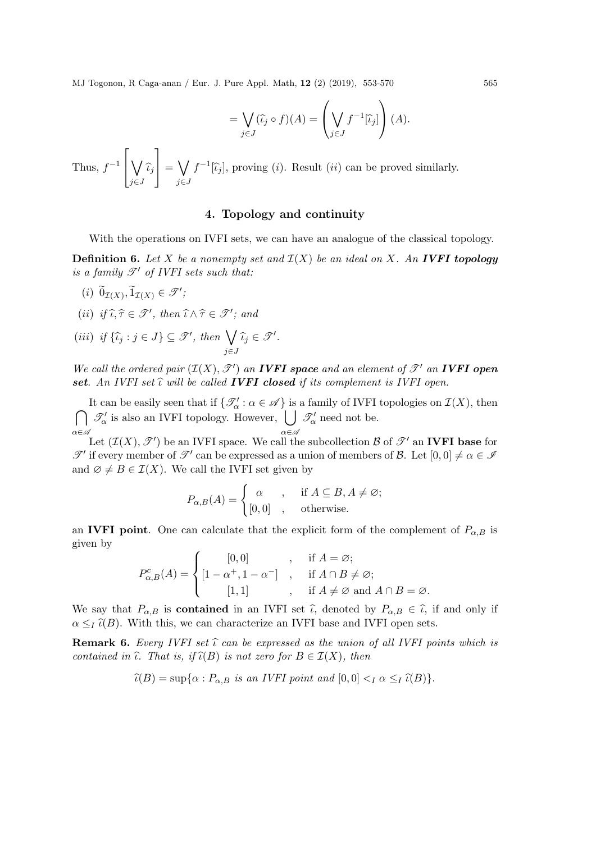$$
= \bigvee_{j \in J} (\widehat{\iota}_j \circ f)(A) = \left(\bigvee_{j \in J} f^{-1}[\widehat{\iota}_j]\right)(A).
$$

Thus,  $f^{-1}$  $\sqrt{ }$  $\overline{\phantom{a}}$  $\setminus$  $\bigvee_{j\in J}\widehat{\iota}_j$ 1  $\vert$  =  $\vert$ j∈J  $f^{-1}[\hat{\iota}_j]$ , proving (*i*). Result (*ii*) can be proved similarly.

# 4. Topology and continuity

With the operations on IVFI sets, we can have an analogue of the classical topology.

**Definition 6.** Let X be a nonempty set and  $\mathcal{I}(X)$  be an ideal on X. An **IVFI topology** is a family  $\mathscr{T}'$  of IVFI sets such that:

- $(i) \ \widetilde{0}_{\mathcal{I}(X)}, \widetilde{1}_{\mathcal{I}(X)} \in \mathscr{T}'$
- (ii) if  $\widehat{\iota}, \widehat{\tau} \in \mathscr{T}'$ , then  $\widehat{\iota} \wedge \widehat{\tau} \in \mathscr{T}'$ ; and

(iii) if 
$$
\{\hat{\iota}_j : j \in J\} \subseteq \mathcal{T}'
$$
, then  $\bigvee_{j \in J} \hat{\iota}_j \in \mathcal{T}'$ .

We call the ordered pair  $(\mathcal{I}(X), \mathcal{T}')$  an **IVFI space** and an element of  $\mathcal{T}'$  an **IVFI open** set. An IVFI set  $\hat{\iota}$  will be called **IVFI closed** if its complement is IVFI open.

It can be easily seen that if  $\{\mathcal{T}'_{\alpha}: \alpha \in \mathcal{A}\}\$ is a family of IVFI topologies on  $\mathcal{I}(X)$ , then It can be easily seen that if  $\{\mathcal{T}'_{\alpha} : \alpha \in \mathcal{A}\}$  is a family of IVFI topologies on  $\mathcal{I}(X)$ , then<br>  $\bigcap \mathcal{I}'_{\alpha}$  is also an IVFI topology. However,  $\bigcup \mathcal{I}'_{\alpha}$  need not be. α∈A  $\mathcal{T}'_{\alpha}$  is also an IVFI topology. However,  $\bigcup$  $\alpha \in \mathscr{A}$  $\mathscr{T}'_{\alpha}$  need not be.

Let  $(\mathcal{I}(X), \mathscr{T}')$  be an IVFI space. We call the subcollection  $\mathcal{B}$  of  $\mathscr{T}'$  an IVFI base for  $\mathscr{T}'$  if every member of  $\mathscr{T}'$  can be expressed as a union of members of  $\mathcal{B}$ . Let  $[0,0] \neq \alpha \in \mathscr{I}$ and  $\emptyset \neq B \in \mathcal{I}(X)$ . We call the IVFI set given by

$$
P_{\alpha,B}(A) = \begin{cases} \alpha & , \quad \text{if } A \subseteq B, A \neq \varnothing; \\ [0,0] & , \quad \text{otherwise.} \end{cases}
$$

an IVFI point. One can calculate that the explicit form of the complement of  $P_{\alpha,B}$  is given by

$$
P_{\alpha,B}^c(A) = \begin{cases} [0,0] & , \text{ if } A = \varnothing; \\ [1 - \alpha^+, 1 - \alpha^-] & , \text{ if } A \cap B \neq \varnothing; \\ [1,1] & , \text{ if } A \neq \varnothing \text{ and } A \cap B = \varnothing. \end{cases}
$$

We say that  $P_{\alpha,B}$  is **contained** in an IVFI set  $\hat{\iota}$ , denoted by  $P_{\alpha,B} \in \hat{\iota}$ , if and only if  $\alpha \leq I(\mathcal{B})$ . With this, we can characterize an IVFI base and IVFI open sets.

**Remark 6.** Every IVFI set  $\hat{\iota}$  can be expressed as the union of all IVFI points which is contained in  $\hat{\iota}$ . That is, if  $\hat{\iota}(B)$  is not zero for  $B \in \mathcal{I}(X)$ , then

$$
\widehat{\iota}(B) = \sup \{ \alpha : P_{\alpha,B} \text{ is an IVFI point and } [0,0] <_I \alpha \leq_I \widehat{\iota}(B) \}.
$$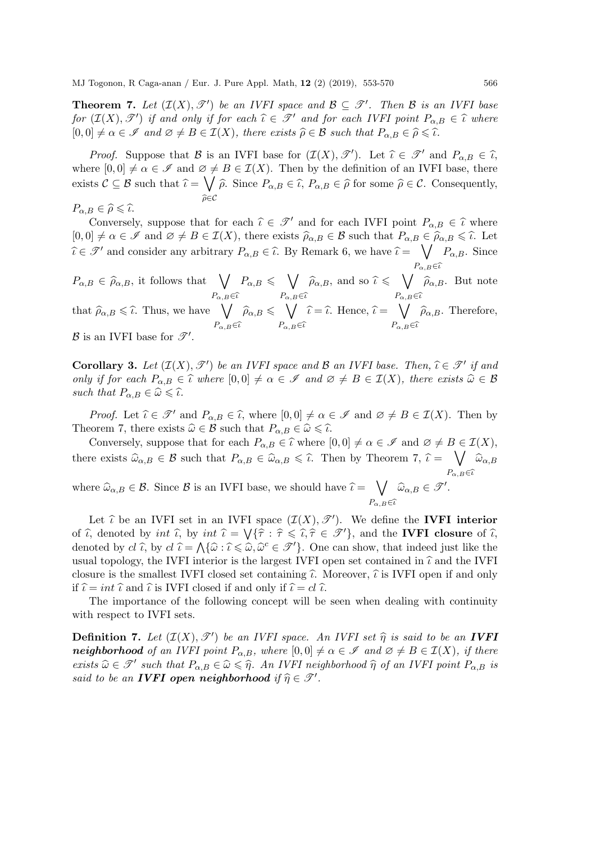**Theorem 7.** Let  $(\mathcal{I}(X), \mathcal{T}')$  be an IVFI space and  $\mathcal{B} \subseteq \mathcal{T}'$ . Then  $\mathcal{B}$  is an IVFI base for  $(\mathcal{I}(X), \mathcal{T}')$  if and only if for each  $\hat{\iota} \in \mathcal{T}'$  and for each IVFI point  $P_{\alpha, B} \in \hat{\iota}$  where  $[0, 0] \neq \alpha \in \mathscr{I}$  and  $\varnothing \neq B \in \mathcal{I}(X)$ , there exists  $\widehat{\rho} \in \mathcal{B}$  such that  $P_{\alpha, B} \in \widehat{\rho} \leq \widehat{\iota}$ .

*Proof.* Suppose that B is an IVFI base for  $(\mathcal{I}(X), \mathcal{T}')$ . Let  $\hat{\iota} \in \mathcal{T}'$  and  $P_{\alpha, B} \in \hat{\iota}$ , where  $[0,0] \neq \alpha \in \mathscr{I}$  and  $\emptyset \neq B \in \mathcal{I}(X)$ . Then by the definition of an IVFI base, there exists  $\mathcal{C} \subseteq \mathcal{B}$  such that  $\hat{\iota} = \bigvee_{\hat{\rho}} \hat{\rho}$ . Since  $P_{\alpha,B} \in \hat{\iota}$ ,  $P_{\alpha,B} \in \hat{\rho}$  for some  $\hat{\rho} \in \mathcal{C}$ . Consequently,  $\widehat{\rho} \in \mathcal{C}$ 

$$
P_{\alpha,B} \in \widehat{\rho} \leqslant \widehat{\iota}.
$$
Conversely

Conversely, suppose that for each  $\hat{\iota} \in \mathcal{T}'$  and for each IVFI point  $P_{\alpha,B} \in \hat{\iota}$  where  $\hat{\iota} \in \mathcal{L}$  and  $\alpha \neq B \in \mathcal{T}(Y)$  there exists  $\hat{\alpha} = \hat{\iota}$  and that  $B = \hat{\iota} \hat{\alpha} = \hat{\iota} \hat{\iota}$ .  $[0, 0] \neq \alpha \in \mathscr{I}$  and  $\varnothing \neq B \in \mathcal{I}(X)$ , there exists  $\widehat{\rho}_{\alpha,B} \in \mathcal{B}$  such that  $P_{\alpha,B} \in \widehat{\rho}_{\alpha,B} \leq \widehat{\iota}$ . Let  $\widehat{\iota} \in \mathscr{T}'$  and consider any arbitrary  $P_{\alpha,B} \in \widehat{\iota}$ . By Remark 6, we have  $\widehat{\iota} = \bigvee_{P_{\alpha,B}} P_{\alpha,B}$ . Since  $P_{\alpha,B} \in \widehat{\iota}$ 

 $P_{\alpha,B} \in \widehat{\rho}_{\alpha,B}$ , it follows that  $\bigvee_{B}$  $P_{\alpha,B} \in \widehat{\iota}$  $P_{\alpha,B} \leqslant \sqrt{\phantom{a}}$  $P_{\alpha,B} \in \widehat{\iota}$  $\widehat{\rho}_{\alpha,B}$ , and so  $\widehat{\iota} \leqslant \bigvee_{P}$  $P_{\alpha,B} \in \widehat{\iota}$  $\widehat{\rho}_{\alpha,B}$ . But note

that  $\widehat{\rho}_{\alpha,B} \leqslant \widehat{\iota}$ . Thus, we have  $\bigvee_{B}$  $P_{\alpha,B} \in \widehat{\iota}$  $\widehat{\rho}_{\alpha,B} \leqslant \bigvee\limits_{B}$  $P_{\alpha,B} \in \widehat{\iota}$  $\widehat{\iota} = \widehat{\iota}$ . Hence,  $\widehat{\iota} = \bigvee_{\substack{\mathcal{D}}}$  $P_{\alpha,B} \in \widehat{\iota}$  $\widehat{\rho}_{\alpha,B}$ . Therefore,

 $\mathcal B$  is an IVFI base for  $\mathscr T'.$ 

**Corollary 3.** Let  $(\mathcal{I}(X), \mathcal{F}')$  be an IVFI space and B an IVFI base. Then,  $\hat{\iota} \in \mathcal{F}'$  if and<br>conju if for each B  $\iota \in \hat{\mathcal{I}}$  where  $[0, 0] \neq \iota \in \mathcal{I}$  and  $\alpha \neq B \in \mathcal{I}(X)$ , there exists  $\hat{\iota} \in \mathcal{B}$ only if for each  $P_{\alpha,B} \in \hat{\iota}$  where  $[0,0] \neq \alpha \in \mathscr{I}$  and  $\varnothing \neq B \in \mathcal{I}(X)$ , there exists  $\hat{\omega} \in \mathcal{B}$ such that  $P_{\alpha,B} \in \widehat{\omega} \leq \widehat{\iota}.$ 

*Proof.* Let  $\hat{\iota} \in \mathcal{T}'$  and  $P_{\alpha,B} \in \hat{\iota}$ , where  $[0,0] \neq \alpha \in \mathcal{I}$  and  $\emptyset \neq B \in \mathcal{I}(X)$ . Then by Theorem 7, there exists  $\widehat{\omega} \in \mathcal{B}$  such that  $P_{\alpha,B} \in \widehat{\omega} \leq \widehat{\iota}$ .

Conversely, suppose that for each  $P_{\alpha,B}\in \hat{\iota}$  where  $[0, 0] \neq \alpha \in \mathscr{I}$  and  $\varnothing \neq B \in \mathcal{I}(X)$ , there exists  $\widehat{\omega}_{\alpha,B} \in \mathcal{B}$  such that  $P_{\alpha,B} \in \widehat{\omega}_{\alpha,B} \leq \widehat{\iota}$ . Then by Theorem  $7, \widehat{\iota} = \bigvee_{B} \widehat{\omega}_{\alpha,B}$  $P_{\alpha,B} \in \widehat{\iota}$ 

where  $\widehat{\omega}_{\alpha,B} \in \mathcal{B}$ . Since  $\mathcal{B}$  is an IVFI base, we should have  $\widehat{\iota} = \bigvee_{P_{\alpha,B} \in \mathcal{B}} \mathcal{A}$  $P_{\alpha,B} \in \widehat{\iota}$  $\widehat{\omega}_{\alpha,B}\in\mathscr{T}'$ .

Let  $\hat{\iota}$  be an IVFI set in an IVFI space  $(\mathcal{I}(X), \mathcal{T}')$ . We define the **IVFI interior**<br>denoted by int  $\hat{\iota}$  by int  $\hat{\iota} - \mathcal{U}(\hat{\varepsilon} \cdot \hat{\varepsilon} \leq \hat{\iota} \hat{\varepsilon} \in \mathcal{T}'$  and the **IVFI** closure of  $\hat{\iota}$ of  $\hat{\iota}$ , denoted by *int*  $\hat{\iota}$ , by *int*  $\hat{\iota} = \bigvee {\{\hat{\tau} : \hat{\tau} \leq \hat{\iota}, \hat{\tau} \in \mathcal{I}'\}}$ , and the **IVFI closure** of  $\hat{\iota}$ , denoted by  $d\hat{\iota}$ , by  $d\hat{\iota} = \Lambda(\hat{\iota} \cdot \hat{\iota} \leq \hat{\iota}, \hat{\iota} \in \mathcal{I}'')$ . One can denoted by cl  $\hat{\iota}$ , by cl  $\hat{\iota} = \bigwedge \{\hat{\omega} : \hat{\iota} \leq \hat{\omega}, \hat{\omega}^c \in \mathcal{I}'\}$ . One can show, that indeed just like the usual topology, the IVFI interior is the largest IVFI open set contained in  $\hat{\iota}$  and the IVFI closure is the smallest IVFI closed set containing  $\hat{\iota}$ . Moreover,  $\hat{\iota}$  is IVFI open if and only if  $\hat{\iota} = int \hat{\iota}$  and  $\hat{\iota}$  is IVFI closed if and only if  $\hat{\iota} = cl \hat{\iota}$ .

The importance of the following concept will be seen when dealing with continuity with respect to IVFI sets.

**Definition 7.** Let  $(\mathcal{I}(X), \mathcal{I}')$  be an IVFI space. An IVFI set  $\hat{\eta}$  is said to be an **IVFI**<br>resiphenhand of an IVFI point  $P_{\text{max}}$  subgrade  $[0, 0] \neq \hat{\rho} \in \mathcal{I}$  and  $\hat{\rho} \neq P \in \mathcal{I}(X)$  if there neighborhood of an IVFI point  $P_{\alpha,B}$ , where  $[0,0] \neq \alpha \in \mathscr{I}$  and  $\varnothing \neq B \in \mathcal{I}(X)$ , if there exists  $\widehat{\omega} \in \mathcal{T}'$  such that  $P_{\alpha,B} \in \widehat{\omega} \leq \widehat{\eta}$ . An IVFI neighborhood  $\widehat{\eta}$  of an IVFI point  $P_{\alpha,B}$  is said to be an **IVFI open neighborhood** if  $\widehat{\eta} \in \mathscr{T}'$ .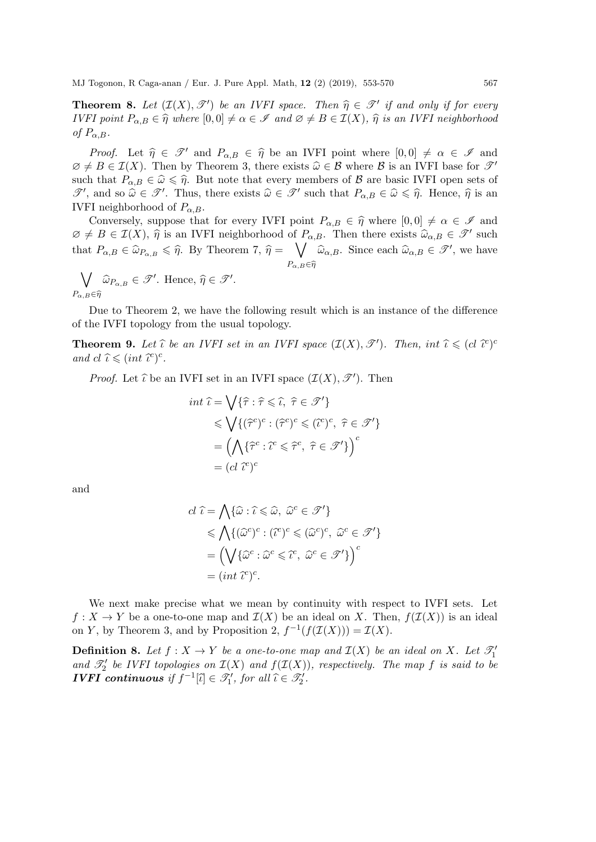Theorem 8. Let (I(X), T <sup>0</sup> ) be an IVFI space. Then <sup>η</sup><sup>b</sup> <sup>∈</sup> <sup>T</sup> <sup>0</sup> if and only if for every IVFI point  $P_{\alpha,B} \in \hat{\eta}$  where  $[0, 0] \neq \alpha \in \mathscr{I}$  and  $\varnothing \neq B \in \mathcal{I}(X)$ ,  $\hat{\eta}$  is an IVFI neighborhood of  $P_{\alpha,B}$ .

*Proof.* Let  $\hat{\eta} \in \mathscr{T}'$  and  $P_{\alpha,B} \in \hat{\eta}$  be an IVFI point where  $[0, 0] \neq \alpha \in \mathscr{I}$  and  $\emptyset \neq B \in \mathcal{I}(X)$ . Then by Theorem 3, there exists  $\widehat{\omega} \in \mathcal{B}$  where  $\mathcal{B}$  is an IVFI base for  $\mathcal{I}'$ such that  $P_{\alpha,B} \in \hat{\omega} \leq \hat{\eta}$ . But note that every members of B are basic IVFI open sets of  $\mathscr{T}'$ , and so  $\hat{\omega} \in \mathscr{T}'$ . Thus, there exists  $\hat{\omega} \in \mathscr{T}'$  such that  $P_{\alpha,B} \in \hat{\omega} \leq \hat{\eta}$ . Hence,  $\hat{\eta}$  is an WEI poighborhood of  $P_{\alpha,B}$ . IVFI neighborhood of  $P_{\alpha,B}$ .

Conversely, suppose that for every IVFI point  $P_{\alpha,B} \in \hat{\eta}$  where  $[0, 0] \neq \alpha \in \mathscr{I}$  and  $\emptyset \neq B \in \mathcal{I}(X)$ ,  $\widehat{\eta}$  is an IVFI neighborhood of  $P_{\alpha,B}$ . Then there exists  $\widehat{\omega}_{\alpha,B} \in \mathcal{I}'$  such that  $P_{\alpha,B} \in \hat{\omega}_{P_{\alpha,B}} \leq \hat{\eta}$ . By Theorem 7,  $\hat{\eta} = \bigvee_{P_{\alpha,B} \in \hat{\mathcal{P}}} \hat{\omega}_{\alpha,B}$ . Since each  $\hat{\omega}_{\alpha,B} \in \mathcal{F}'$ , we have  $P_{\alpha, B} \! \in \! \widehat{\eta}$ 

 $\bigvee_{\widehat{\alpha}} \widehat{\omega}_{P_{\alpha,B}} \in \mathscr{T}'$ . Hence,  $\widehat{\eta} \in \mathscr{T}'$ .  $P_{\alpha,B} \in \widehat{\eta}$ 

Due to Theorem 2, we have the following result which is an instance of the difference of the IVFI topology from the usual topology.

**Theorem 9.** Let  $\hat{\iota}$  be an IVFI set in an IVFI space  $(\mathcal{I}(X), \mathcal{T}')$ . Then, int  $\hat{\iota} \leq (cl \ \hat{\iota}^c)^c$ and  $cl \hat{\iota} \leqslant (int \hat{\iota}^c)^c$ .

*Proof.* Let  $\hat{\iota}$  be an IVFI set in an IVFI space  $(\mathcal{I}(X), \mathcal{I}')$ . Then

$$
\begin{aligned}\n\int \hat{t} \, dt \, \hat{t} &= \bigvee \{ \hat{\tau} : \hat{\tau} \leqslant \hat{t}, \ \hat{\tau} \in \mathcal{I}' \} \\
&\leqslant \bigvee \{ (\hat{\tau}^c)^c : (\hat{\tau}^c)^c \leqslant (\hat{t}^c)^c, \ \hat{\tau} \in \mathcal{I}' \} \\
&= \left( \bigwedge \{ \hat{\tau}^c : \hat{t}^c \leqslant \hat{\tau}^c, \ \hat{\tau} \in \mathcal{I}' \} \right)^c \\
&= (cl \ \hat{t}^c)^c\n\end{aligned}
$$

and

$$
cl \ \hat{\iota} = \bigwedge \{ \hat{\omega} : \hat{\iota} \leq \hat{\omega}, \ \hat{\omega}^c \in \mathcal{I}' \} \n\leq \bigwedge \{ (\hat{\omega}^c)^c : (\hat{\iota}^c)^c \leq (\hat{\omega}^c)^c, \ \hat{\omega}^c \in \mathcal{I}' \} \n= \left( \bigvee \{ \hat{\omega}^c : \hat{\omega}^c \leq \hat{\iota}^c, \ \hat{\omega}^c \in \mathcal{I}' \} \right)^c \n= (int \ \hat{\iota}^c)^c.
$$

We next make precise what we mean by continuity with respect to IVFI sets. Let  $f: X \to Y$  be a one-to-one map and  $\mathcal{I}(X)$  be an ideal on X. Then,  $f(\mathcal{I}(X))$  is an ideal on Y, by Theorem 3, and by Proposition 2,  $f^{-1}(f(\mathcal{I}(X))) = \mathcal{I}(X)$ .

**Definition 8.** Let  $f : X \to Y$  be a one-to-one map and  $\mathcal{I}(X)$  be an ideal on X. Let  $\mathcal{I}'_1$ and  $\mathcal{T}'_2$  be IVFI topologies on  $\mathcal{I}(X)$  and  $f(\mathcal{I}(X))$ , respectively. The map f is said to be **IVFI continuous** if  $f^{-1}[\tilde{\iota}] \in \mathscr{T}'_1$ , for all  $\tilde{\iota} \in \mathscr{T}'_2$ .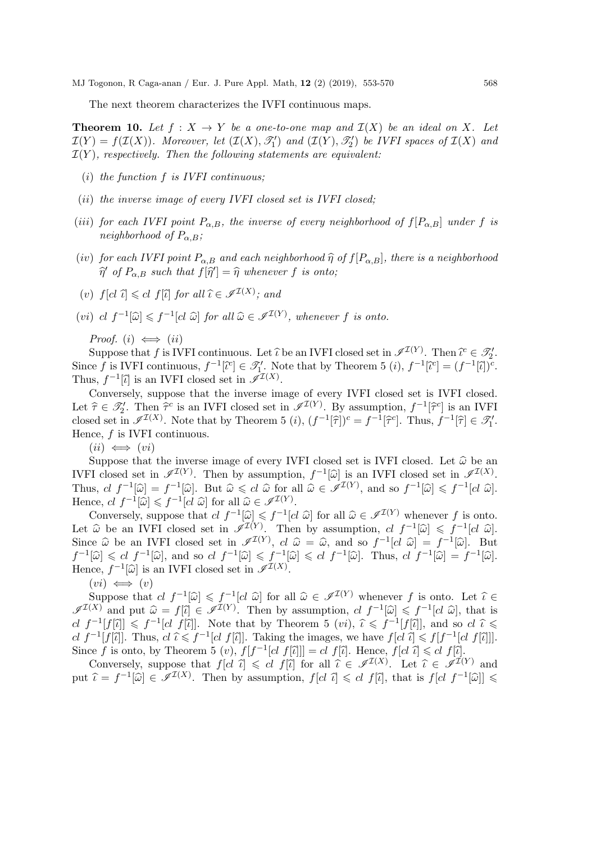The next theorem characterizes the IVFI continuous maps.

**Theorem 10.** Let  $f: X \to Y$  be a one-to-one map and  $\mathcal{I}(X)$  be an ideal on X. Let  $\mathcal{I}(Y) = f(\mathcal{I}(X))$ . Moreover, let  $(\mathcal{I}(X), \mathcal{T}'_1)$  and  $(\mathcal{I}(Y), \mathcal{T}'_2)$  be IVFI spaces of  $\mathcal{I}(X)$  and  $\mathcal{I}(Y)$ , respectively. Then the following statements are equivalent:

- (i) the function  $f$  is IVFI continuous;
- (ii) the inverse image of every IVFI closed set is IVFI closed;
- (iii) for each IVFI point  $P_{\alpha,B}$ , the inverse of every neighborhood of  $f[P_{\alpha,B}]$  under f is neighborhood of  $P_{\alpha,B}$ ;
- (iv) for each IVFI point  $P_{\alpha,B}$  and each neighborhood  $\hat{\eta}$  of  $f[P_{\alpha,B}]$ , there is a neighborhood  $\widehat{\eta}'$  of  $P_{\alpha,B}$  such that  $f[\widehat{\eta}'] = \widehat{\eta}$  whenever f is onto;
- (v)  $f[cl \ \hat{\iota}] \leq d \ f[\hat{\iota}]$  for all  $\hat{\iota} \in \mathscr{I}^{\mathcal{I}(X)}$ ; and
- (vi)  $cl \ f^{-1}[\widehat{\omega}] \leq f^{-1}[cl \ \widehat{\omega}]$  for all  $\widehat{\omega} \in \mathscr{I}^{\mathcal{I}(Y)}$ , whenever f is onto.

Proof. (i)  $\iff$  (ii)

Suppose that f is IVFI continuous. Let  $\hat{\iota}$  be an IVFI closed set in  $\mathscr{I}^{I(Y)}$ . Then  $\hat{\iota}^c \in \mathscr{T}'_2$ . Since f is IVFI continuous,  $f^{-1}[\tilde{c}^c] \in \mathcal{I}_1'$ . Note that by Theorem 5  $(i)$ ,  $f^{-1}[\tilde{c}^c] = (f^{-1}[\tilde{c}])^c$ .<br>Thus,  $f^{-1}[\tilde{c}^c]$  is an IVFI closed set in  $\tilde{d}^{L(X)}$ . Thus,  $f^{-1}[\tilde{\iota}]$  is an IVFI closed set in  $\mathscr{I}^{I(X)}$ .<br>Conveniently suppose that the inverse im-

Conversely, suppose that the inverse image of every IVFI closed set is IVFI closed. Let  $\hat{\tau} \in \mathcal{I}_2'$ . Then  $\hat{\tau}^c$  is an IVFI closed set in  $\mathcal{I}^{(Y)}$ . By assumption,  $f^{-1}[\hat{\tau}^c]$  is an IVFI closed set in  $\mathcal{I}^{(X)}$ . Note that by Theorem 5 (i)  $(f^{-1}[\hat{\tau}])^c = f^{-1}[\hat{\tau}^c]$ . Thus,  $f^{-1}[\hat{\tau}] \in \$ closed set in  $\mathscr{I}^{I(X)}$ . Note that by Theorem 5 (*i*),  $(f^{-1}[\hat{\tau}])^c = f^{-1}[\hat{\tau}^c]$ . Thus,  $f^{-1}[\hat{\tau}] \in \mathscr{T}'_1$ .<br>Hence f is IVEI continuous Hence, f is IVFI continuous.

 $(ii) \iff (vi)$ 

Suppose that the inverse image of every IVFI closed set is IVFI closed. Let  $\hat{\omega}$  be an IVFI closed set in  $\mathscr{I}^{\mathcal{I}(Y)}$ . Then by assumption,  $f^{-1}[\widehat{\omega}]$  is an IVFI closed set in  $\mathscr{I}^{\mathcal{I}(X)}$ . IVFI closed set in  $\mathscr{I}^{(X)}$ . Then by assumption,  $f^{-1}[\hat{\omega}]$  is an IVFI closed set in  $\mathscr{I}^{(X)}$ .<br>Thus,  $cl \ f^{-1}[\hat{\omega}] = f^{-1}[\hat{\omega}]$ . But  $\hat{\omega} \le cl \ \hat{\omega}$  for all  $\hat{\omega} \in \mathscr{I}^{(Y)}$ , and so  $f^{-1}[\hat{\omega}] \le f^{-1}[cl \ \hat{\omega}]$ .<br>Hen

Conversely, suppose that  $cl f^{-1}[\hat{\omega}] \leq f^{-1}[cl \hat{\omega}]$  for all  $\hat{\omega} \in \mathscr{I}^{(Y)}$  whenever f is onto. Let  $\hat{\omega}$  be an IVFI closed set in  $\mathscr{I}^{I(Y)}$ . Then by assumption,  $cl f^{-1}[\hat{\omega}] \leq f^{-1}[cl \hat{\omega}]$ .<br>Since  $\hat{\omega}$  be an IVFI closed set in  $\mathscr{I}^{I(Y)}$  at  $\hat{\omega} = \hat{\omega}$  and set  $f^{-1}[cl \hat{\omega}] = f^{-1}[\hat{\omega}]$ . Since  $\hat{\omega}$  be an IVFI closed set in  $\mathscr{I}^{I(Y)}$ ,  $cl \hat{\omega} = \hat{\omega}$ , and so  $f^{-1}[cl \hat{\omega}] = f^{-1}$ <br> $f^{-1}[\hat{\omega}] \leq cl \{f^{-1}[\hat{\omega}] \leq f^{-1}[\hat{\omega}] \leq cl \{f^{-1}[\hat{\omega}] \leq \sum_{i=1}^{N} f^{-1}[\hat{\omega}] \leq cl \{f^{-1}[\hat{\omega}] \}$ Since  $\hat{\omega}$  be an IVFI closed set in  $\mathscr{I}^{L(Y)}$ ,  $cl \hat{\omega} = \hat{\omega}$ , and so  $f^{-1}[cl \hat{\omega}] = f^{-1}[\hat{\omega}]$ . But  $f^{-1}[\hat{\omega}] \leqslant cl \ f^{-1}[\hat{\omega}] \leqslant f^{-1}[\hat{\omega}] \leqslant cl \ f^{-1}[\hat{\omega}]$ . Thus,  $cl \ f^{-1}[\hat{\omega}] = f^{-1}[\hat{\omega}]$ .<br>Hence  $f^{-1}[\hat{\omega}]$  is an IVF Hence,  $f^{-1}[\widehat{\omega}]$  is an IVFI closed set in  $\mathscr{I}^{\mathcal{I}(X)}$ .

 $(vi) \iff (v)$ 

Suppose that  $cl f^{-1}[\widehat{\omega}] \leq f^{-1}[cl \widehat{\omega}]$  for all  $\widehat{\omega} \in \mathscr{I}^{\mathcal{I}(Y)}$  whenever f is onto. Let  $\widehat{\iota} \in K$ <br>  $(K)$  and put  $\widehat{\omega} = f[\widehat{\omega}] \subset \mathscr{I}^{\mathcal{I}(Y)}$ . Then by assumption  $cl f^{-1}[\widehat{\omega}] \leq f^{-1}[cl \widehat{\omega}]$  that is  $\mathscr{I}^{I(X)}$  and put  $\hat{\omega} = f[\hat{\iota}] \in \mathscr{I}^{I(Y)}$ . Then by assumption,  $cl \ f^{-1}[\hat{\omega}] \leq f^{-1}[cl \hat{\omega}]$ , that is  $cl \ f^{-1}[f[\hat{\iota}]] \leq f^{-1}[cl \hat{\iota}]$ . Note that by Theorem 5  $(vi)$ ,  $\hat{\iota} \leq f^{-1}[f[\hat{\iota}]]$ , and so  $cl \hat{\iota} \leq cl \ f^{-1}[f[\hat{\$ Since f is onto, by Theorem 5 (v),  $f[f^{-1}[cl\ f[\tilde{l}]]] = cl\ f[\tilde{l}]$ . Hence,  $f[cl\ \tilde{l}] \leq cl\ f[\tilde{l}]$ .<br>Convenience that  $f[d\ \tilde{l}] \leq cl\ f[\tilde{l}]$  for all  $\tilde{l} \in \mathscr{A}^{I(X)}$ . Let  $\tilde{l} \in \mathscr{A}^{I}$ 

Conversely, suppose that  $f[c] \leq cl$   $f[\tilde{c}]$  for all  $\tilde{c} \in \mathscr{I}^{I(X)}$ . Let  $\tilde{c} \in \tilde{\mathscr{I}}^{I(Y)}$  and  $\tilde{c} = f^{-1}[\tilde{c}] \subset \tilde{\mathscr{I}}^{I(X)}$ . Then by assumption  $f[c]$   $\tilde{c} \leq cl$   $f[\tilde{c}]$  that is  $f[c]$   $f^{-1}[\tilde{c}]$ put  $\hat{\iota} = f^{-1}[\hat{\omega}] \in \mathscr{I}^{I(X)}$ . Then by assumption,  $f[cl \hat{\iota}] \leqslant cl \hat{f}[\hat{\iota}]$ , that is  $f[cl \hat{f}^{-1}[\hat{\omega}]] \leqslant$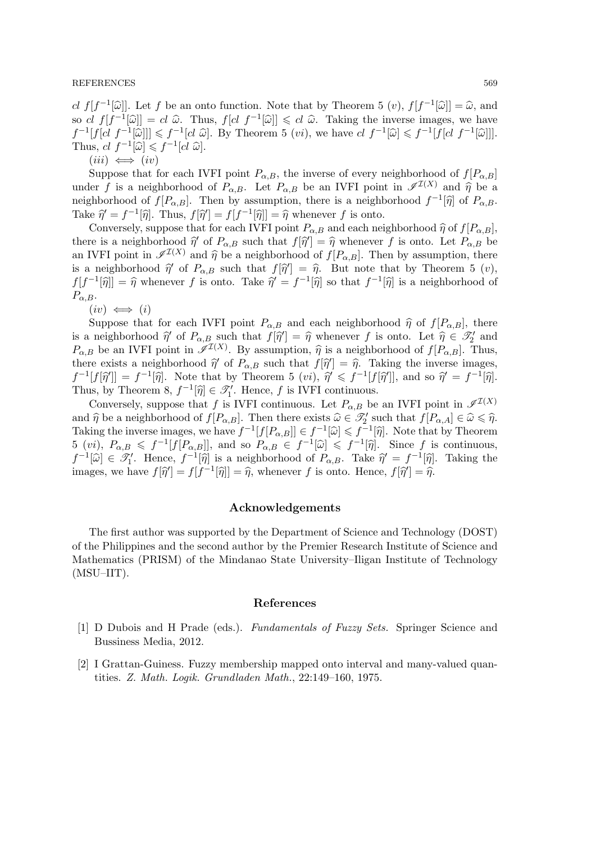#### REFERENCES 569

cl  $f[f^{-1}[\hat{\omega}]]$ . Let f be an onto function. Note that by Theorem 5  $(v)$ ,  $f[f^{-1}[\hat{\omega}]] = \hat{\omega}$ , and<br>so al  $f[f^{-1}[\hat{\omega}]] = el \hat{\omega}$ . Thus,  $f[d, f^{-1}[\hat{\omega}]] \leq el \hat{\omega}$ . Taking the inverse images, we have so cl  $f[f^{-1}[\hat{\omega}]] = cl \hat{\omega}$ . Thus,  $f[cl \ f^{-1}[\hat{\omega}]] \leq cl \hat{\omega}$ . Taking the inverse images, we have  $f^{-1}[cl] \ f^{-1}[\hat{\omega}]] \leq f^{-1}[cl] \ \leq \ f^{-1}[cl] \ \leq \ f^{-1}[cl] \ \leq \ \frac{1}{\Gamma}$  $f^{-1}[f[cl \ f^{-1}[\hat{\omega}]]] \leq f^{-1}[cl \ \hat{\omega}]$ . By Theorem 5  $(vi)$ , we have  $cl \ f^{-1}[\hat{\omega}] \leq f^{-1}[f[cl \ f^{-1}[\hat{\omega}]]]$ .<br>Thus  $cl \ f^{-1}[\hat{\omega}] \leq f^{-1}[cl \ \hat{\omega}]$ . Thus,  $cl f^{-1}[\widehat{\omega}] \leq f^{-1}[cl \widehat{\omega}].$ <br>(iii)  $\longleftrightarrow$  (iv)

 $(iii) \iff (iv)$ 

Suppose that for each IVFI point  $P_{\alpha,B}$ , the inverse of every neighborhood of  $f[P_{\alpha,B}]$ under f is a neighborhood of  $P_{\alpha,B}$ . Let  $P_{\alpha,B}$  be an IVFI point in  $\mathscr{I}^{I(X)}$  and  $\hat{\eta}$  be a neighborhood of  $f[P_{\alpha,B}]$ . Then by assumption, there is a neighborhood  $f^{-1}[\hat{\eta}]$  of  $P_{\alpha,B}$ .<br>Take  $\hat{\mathcal{A}} = f^{-1}[\hat{\mathcal{A}}]$ . Thus,  $f[\hat{\mathcal{A}}] = f[f^{-1}[\hat{\mathcal{A}}]] = \hat{\mathcal{A}}$  whenever f is onto Take  $\hat{\eta} = f^{-1}[\hat{\eta}]$ . Thus,  $f[\hat{\eta}'] = f[f^{-1}[\hat{\eta}]] = \hat{\eta}$  whenever f is onto.<br>Convergely suppose that for each U/FI point  $P$  - and each point

Conversely, suppose that for each IVFI point  $P_{\alpha,B}$  and each neighborhood  $\hat{\eta}$  of  $f[P_{\alpha,B}],$ there is a neighborhood  $\hat{\eta}'$  of  $P_{\alpha,B}$  such that  $f[\hat{\eta}'] = \hat{\eta}$  whenever f is onto. Let  $P_{\alpha,B}$  be<br>on WEI point in  $\mathscr{J}^{(X)}$  and  $\hat{\kappa}$  be a neighborhood of  $f[D_{\alpha-}]$ . Then by equivalent there an IVFI point in  $\mathscr{I}^{I(X)}$  and  $\hat{\eta}$  be a neighborhood of  $f[P_{\alpha,B}]$ . Then by assumption, there is a neighborhood  $\hat{\eta}'$  of  $P_{\alpha,B}$  such that  $f[\hat{\eta}'] = \hat{\eta}$ . But note that by Theorem 5 (v),<br> $f[f^{-1}(\hat{\alpha})] = \hat{\alpha}$  whenever f is onto Take  $\hat{\alpha}' = f^{-1}(\hat{\alpha})$  so that  $f^{-1}(\hat{\alpha})$  is a neighborhood of  $f[f^{-1}[\hat{\eta}]]=\hat{\eta}$  whenever f is onto. Take  $\hat{\eta}'=f^{-1}[\hat{\eta}]$  so that  $f^{-1}[\hat{\eta}]$  is a neighborhood of  $P_{\alpha,B}$ .

 $(iv) \iff (i)$ 

Suppose that for each IVFI point  $P_{\alpha,B}$  and each neighborhood  $\hat{\eta}$  of  $f[P_{\alpha,B}]$ , there is a neighborhood  $\hat{\eta}$  of  $P_{\alpha,B}$  such that  $f[\hat{\eta}'] = \hat{\eta}$  whenever f is onto. Let  $\hat{\eta} \in \mathcal{I}'_2$  and  $P_{\alpha}$  be an WEI point in  $\mathcal{J}(X)$ . By assumption  $\hat{\mathcal{I}}$  is a neighborhood of  $f[P_{\alpha-1}]$ . Thus  $P_{\alpha,B}$  be an IVFI point in  $\mathscr{I}^{I(X)}$ . By assumption,  $\hat{\eta}$  is a neighborhood of  $f[P_{\alpha,B}]$ . Thus, there exists a neighborhood  $\hat{\mathscr{U}}$  of  $P_{\alpha,B}$  and that  $f[\hat{\mathscr{U}}] = \hat{\mathscr{U}}$ . Taking the inverse images there exists a neighborhood  $\hat{\eta}'$  of  $P_{\alpha,B}$  such that  $f[\hat{\eta}'] = \hat{\eta}$ . Taking the inverse images,<br> $f^{-1}[f[\hat{\alpha}]] = f^{-1}[\hat{\alpha}]$ . Note that by Theorem 5 (*ad)*  $\hat{\alpha}' \leq f^{-1}[f[\hat{\alpha}]]$  and so  $\hat{\alpha}' = f^{-1}[\hat{\alpha}]$ .  $f^{-1}[f[\hat{\eta}]] = f^{-1}[\hat{\eta}]$ . Note that by Theorem 5 (*vi*),  $\hat{\eta}' \leq f^{-1}[f[\hat{\eta}]]$ , and so  $\hat{\eta}' = f^{-1}[\hat{\eta}]$ .<br>Thus by Theorem 8  $f^{-1}[\hat{\alpha}] \subset \hat{\mathscr{U}}'$  Hongo f is WEI continuous. Thus, by Theorem 8,  $f^{-1}[\hat{\eta}] \in \mathscr{T}'_1$ . Hence, f is IVFI continuous.<br>Conversely, suppose that f is IVFI continuous. Let  $P$  - he

Conversely, suppose that f is IVFI continuous. Let  $P_{\alpha,B}$  be an IVFI point in  $\mathscr{I}^{I(X)}$ and  $\hat{\eta}$  be a neighborhood of  $f[P_{\alpha,B}]$ . Then there exists  $\hat{\omega} \in \mathscr{T}_2'$  such that  $f[P_{\alpha,A}] \in \hat{\omega} \leq \hat{\eta}$ .<br>Taking the inverse images we have  $f^{-1}[f[D_{\alpha}]] \subset f^{-1}[\hat{\omega}] \leq f^{-1}[\hat{\omega}]$ . Note that by Theorem Taking the inverse images, we have  $f^{-1}[f[P_{\alpha,B}]] \in f^{-1}[\hat{\omega}] \leq f^{-1}[\hat{\eta}]$ . Note that by Theorem<br>5 (*vi*),  $P_{\alpha,B} \leq f^{-1}[f[P_{\alpha,B}]]$ , and so  $P_{\alpha,B} \in f^{-1}[\hat{\omega}] \leq f^{-1}[\hat{\eta}]$ . Since f is continuous,<br> $f^{-1}[\hat{\omega}] \subset \mathcal{U}$ . Hence  $f^{-1}[\widehat{\omega}] \in \mathcal{I}'_1$ . Hence,  $f^{-1}[\widehat{\eta}]$  is a neighborhood of  $P_{\alpha,B}$ . Take  $\widehat{\eta}' = f^{-1}[\widehat{\eta}]$ . Taking the images, we have  $f[\hat{\eta}] = f[f^{-1}[\hat{\eta}]] = \hat{\eta}$ , whenever f is onto. Hence,  $f[\hat{\eta}] = \hat{\eta}$ .

### Acknowledgements

The first author was supported by the Department of Science and Technology (DOST) of the Philippines and the second author by the Premier Research Institute of Science and Mathematics (PRISM) of the Mindanao State University–Iligan Institute of Technology (MSU–IIT).

#### References

- [1] D Dubois and H Prade (eds.). Fundamentals of Fuzzy Sets. Springer Science and Bussiness Media, 2012.
- [2] I Grattan-Guiness. Fuzzy membership mapped onto interval and many-valued quantities. Z. Math. Logik. Grundladen Math., 22:149–160, 1975.